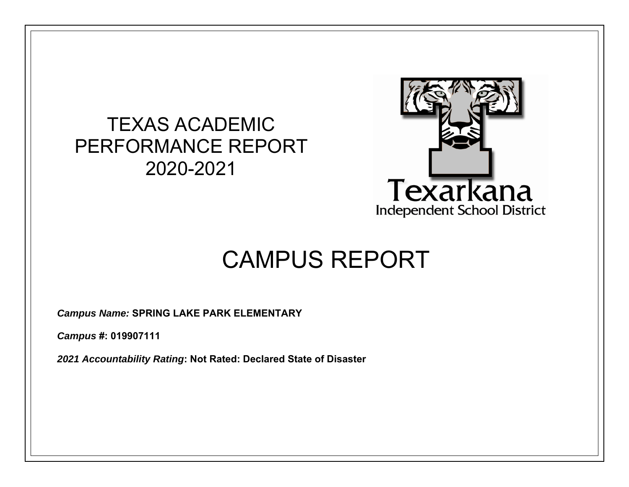## TEXAS ACADEMIC PERFORMANCE REPORT 2020-2021



# CAMPUS REPORT

*Campus Name:* **SPRING LAKE PARK ELEMENTARY** 

*Campus* **#: 019907111** 

*2021 Accountability Rating***: Not Rated: Declared State of Disaster**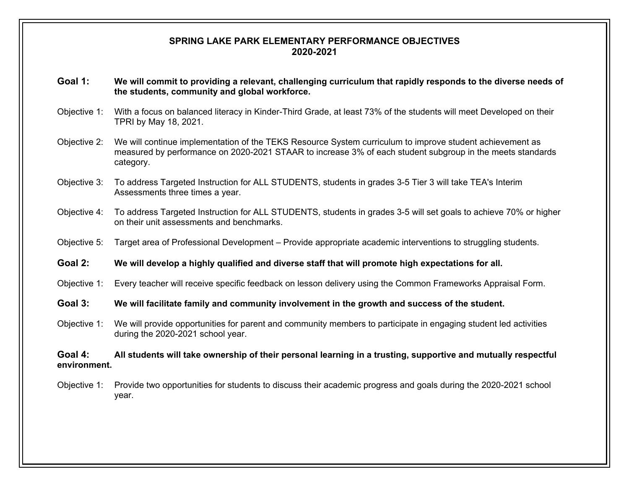#### **SPRING LAKE PARK ELEMENTARY PERFORMANCE OBJECTIVES 2020-2021**

- **Goal 1: We will commit to providing a relevant, challenging curriculum that rapidly responds to the diverse needs of the students, community and global workforce.**
- Objective 1: With a focus on balanced literacy in Kinder-Third Grade, at least 73% of the students will meet Developed on their TPRI by May 18, 2021.
- Objective 2: We will continue implementation of the TEKS Resource System curriculum to improve student achievement as measured by performance on 2020-2021 STAAR to increase 3% of each student subgroup in the meets standards category.
- Objective 3: To address Targeted Instruction for ALL STUDENTS, students in grades 3-5 Tier 3 will take TEA's Interim Assessments three times a year.
- Objective 4: To address Targeted Instruction for ALL STUDENTS, students in grades 3-5 will set goals to achieve 70% or higher on their unit assessments and benchmarks.
- Objective 5: Target area of Professional Development Provide appropriate academic interventions to struggling students.
- **Goal 2: We will develop a highly qualified and diverse staff that will promote high expectations for all.**
- Objective 1: Every teacher will receive specific feedback on lesson delivery using the Common Frameworks Appraisal Form.
- **Goal 3: We will facilitate family and community involvement in the growth and success of the student.**
- Objective 1: We will provide opportunities for parent and community members to participate in engaging student led activities during the 2020-2021 school year.

#### **Goal 4: All students will take ownership of their personal learning in a trusting, supportive and mutually respectful environment.**

Objective 1: Provide two opportunities for students to discuss their academic progress and goals during the 2020-2021 school year.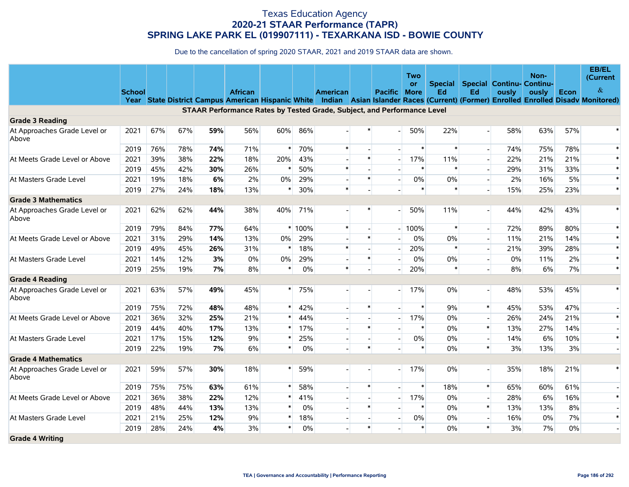|                                       |               |     |     |     |                                                                         |        |        |                 |        |                          | Two    |         |                                  |       | Non-  |       | EB/EL<br>(Current)                                                                                                                    |
|---------------------------------------|---------------|-----|-----|-----|-------------------------------------------------------------------------|--------|--------|-----------------|--------|--------------------------|--------|---------|----------------------------------|-------|-------|-------|---------------------------------------------------------------------------------------------------------------------------------------|
|                                       |               |     |     |     |                                                                         |        |        |                 |        |                          | or     | Special | <b>Special Continu- Continu-</b> |       |       |       | &                                                                                                                                     |
|                                       | <b>School</b> |     |     |     | <b>African</b>                                                          |        |        | <b>American</b> |        | <b>Pacific More</b>      |        | Ed      | Ed                               | ously | ously | Econ  | Year State District Campus American Hispanic White Indian Asian Islander Races (Current) (Former) Enrolled Enrolled Disady Monitored) |
|                                       |               |     |     |     | STAAR Performance Rates by Tested Grade, Subject, and Performance Level |        |        |                 |        |                          |        |         |                                  |       |       |       |                                                                                                                                       |
| <b>Grade 3 Reading</b>                |               |     |     |     |                                                                         |        |        |                 |        |                          |        |         |                                  |       |       |       |                                                                                                                                       |
| At Approaches Grade Level or<br>Above | 2021          | 67% | 67% | 59% | 56%                                                                     | 60%    | 86%    |                 |        |                          | 50%    | 22%     |                                  | 58%   | 63%   | 57%   |                                                                                                                                       |
|                                       | 2019          | 76% | 78% | 74% | 71%                                                                     | $\ast$ | 70%    | $\ast$          |        | $\overline{\phantom{a}}$ | $\ast$ | $\ast$  | $\overline{\phantom{a}}$         | 74%   | 75%   | 78%   | $\ast$                                                                                                                                |
| At Meets Grade Level or Above         | 2021          | 39% | 38% | 22% | 18%                                                                     | 20%    | 43%    |                 | $\ast$ | $\overline{\phantom{a}}$ | 17%    | 11%     |                                  | 22%   | 21%   | 21%   | $\ast$                                                                                                                                |
|                                       | 2019          | 45% | 42% | 30% | 26%                                                                     | ∗      | 50%    | $\pmb{\ast}$    |        |                          | $\ast$ | $\ast$  |                                  | 29%   | 31%   | 33%   | $\ast$                                                                                                                                |
| At Masters Grade Level                | 2021          | 19% | 18% | 6%  | 2%                                                                      | 0%     | 29%    |                 | $\ast$ | $\blacksquare$           | 0%     | 0%      |                                  | 2%    | 16%   | 5%    | $\ast$                                                                                                                                |
|                                       | 2019          | 27% | 24% | 18% | 13%                                                                     | *      | 30%    | $\ast$          |        |                          | $\ast$ | $\ast$  |                                  | 15%   | 25%   | 23%   | $\ast$                                                                                                                                |
| <b>Grade 3 Mathematics</b>            |               |     |     |     |                                                                         |        |        |                 |        |                          |        |         |                                  |       |       |       |                                                                                                                                       |
| At Approaches Grade Level or<br>Above | 2021          | 62% | 62% | 44% | 38%                                                                     | 40%    | 71%    |                 |        |                          | 50%    | 11%     |                                  | 44%   | 42%   | 43%   | $\ast$                                                                                                                                |
|                                       | 2019          | 79% | 84% | 77% | 64%                                                                     |        | * 100% | $\ast$          |        | $\overline{a}$           | 100%   | $\ast$  |                                  | 72%   | 89%   | 80%   |                                                                                                                                       |
| At Meets Grade Level or Above         | 2021          | 31% | 29% | 14% | 13%                                                                     | 0%     | 29%    |                 | $\ast$ |                          | 0%     | $0\%$   |                                  | 11%   | 21%   | 14%   |                                                                                                                                       |
|                                       | 2019          | 49% | 45% | 26% | 31%                                                                     | $\ast$ | 18%    | $\ast$          |        |                          | 20%    | $\ast$  |                                  | 21%   | 39%   | 28%   |                                                                                                                                       |
| At Masters Grade Level                | 2021          | 14% | 12% | 3%  | 0%                                                                      | 0%     | 29%    |                 | $\ast$ |                          | 0%     | $0\%$   |                                  | 0%    | 11%   | 2%    |                                                                                                                                       |
|                                       | 2019          | 25% | 19% | 7%  | 8%                                                                      | $\ast$ | 0%     | $\ast$          |        |                          | 20%    | $\ast$  |                                  | 8%    | 6%    | 7%    | $\ast$                                                                                                                                |
| <b>Grade 4 Reading</b>                |               |     |     |     |                                                                         |        |        |                 |        |                          |        |         |                                  |       |       |       |                                                                                                                                       |
| At Approaches Grade Level or<br>Above | 2021          | 63% | 57% | 49% | 45%                                                                     | $\ast$ | 75%    |                 |        |                          | 17%    | $0\%$   |                                  | 48%   | 53%   | 45%   | $\ast$                                                                                                                                |
|                                       | 2019          | 75% | 72% | 48% | 48%                                                                     |        | 42%    | $\overline{a}$  | $\ast$ |                          | $\ast$ | 9%      | $\ast$                           | 45%   | 53%   | 47%   |                                                                                                                                       |
| At Meets Grade Level or Above         | 2021          | 36% | 32% | 25% | 21%                                                                     |        | 44%    |                 |        |                          | 17%    | 0%      |                                  | 26%   | 24%   | 21%   | $\ast$                                                                                                                                |
|                                       | 2019          | 44% | 40% | 17% | 13%                                                                     |        | 17%    |                 | $\ast$ |                          | $\ast$ | 0%      | $\ast$                           | 13%   | 27%   | 14%   |                                                                                                                                       |
| At Masters Grade Level                | 2021          | 17% | 15% | 12% | 9%                                                                      |        | 25%    |                 |        |                          | $0\%$  | 0%      | $\overline{a}$                   | 14%   | 6%    | 10%   | $\ast$                                                                                                                                |
|                                       | 2019          | 22% | 19% | 7%  | 6%                                                                      | *      | 0%     |                 | $\ast$ |                          | $\ast$ | 0%      | $\ast$                           | 3%    | 13%   | 3%    |                                                                                                                                       |
| <b>Grade 4 Mathematics</b>            |               |     |     |     |                                                                         |        |        |                 |        |                          |        |         |                                  |       |       |       |                                                                                                                                       |
| At Approaches Grade Level or<br>Above | 2021          | 59% | 57% | 30% | 18%                                                                     | ∗      | 59%    |                 |        |                          | 17%    | $0\%$   |                                  | 35%   | 18%   | 21%   | $\ast$                                                                                                                                |
|                                       | 2019          | 75% | 75% | 63% | 61%                                                                     |        | 58%    |                 |        |                          | $\ast$ | 18%     | $\ast$                           | 65%   | 60%   | 61%   |                                                                                                                                       |
| At Meets Grade Level or Above         | 2021          | 36% | 38% | 22% | 12%                                                                     |        | 41%    |                 |        | $\sim$                   | 17%    | $0\%$   |                                  | 28%   | 6%    | 16%   | $\ast$                                                                                                                                |
|                                       | 2019          | 48% | 44% | 13% | 13%                                                                     | *      | 0%     |                 | $\ast$ |                          | $\ast$ | 0%      | $\ast$                           | 13%   | 13%   | 8%    |                                                                                                                                       |
| At Masters Grade Level                | 2021          | 21% | 25% | 12% | 9%                                                                      | *      | 18%    | $\blacksquare$  |        | $\blacksquare$           | $0\%$  | 0%      |                                  | 16%   | 0%    | 7%    | $\ast$                                                                                                                                |
|                                       | 2019          | 28% | 24% | 4%  | 3%                                                                      | $\ast$ | 0%     |                 | $\ast$ |                          | $\ast$ | $0\%$   | $\ast$                           | 3%    | 7%    | $0\%$ |                                                                                                                                       |
| <b>Grade 4 Writing</b>                |               |     |     |     |                                                                         |        |        |                 |        |                          |        |         |                                  |       |       |       |                                                                                                                                       |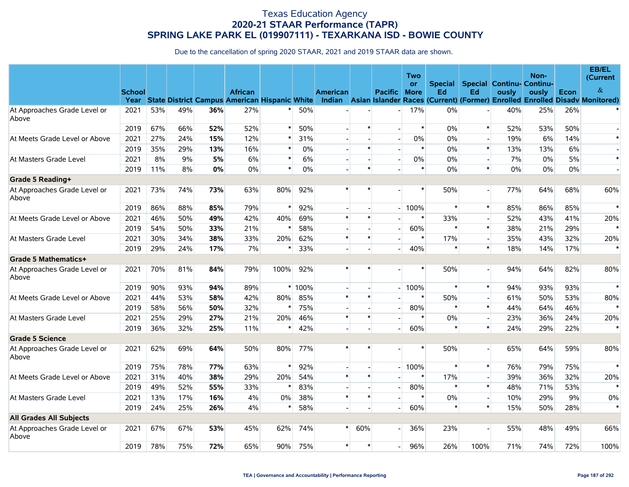|                                       |               |     |     |     |                |        |          |                 |        |                          | Two         |        |                          |                                          | Non-  |      | EB/EL<br>(Current                                                                                                                             |
|---------------------------------------|---------------|-----|-----|-----|----------------|--------|----------|-----------------|--------|--------------------------|-------------|--------|--------------------------|------------------------------------------|-------|------|-----------------------------------------------------------------------------------------------------------------------------------------------|
|                                       |               |     |     |     |                |        |          |                 |        |                          | <b>or</b>   |        |                          | <b>Special Special Continu- Continu-</b> |       |      |                                                                                                                                               |
|                                       | <b>School</b> |     |     |     | <b>African</b> |        |          | <b>American</b> |        | <b>Pacific</b>           | <b>More</b> | Ed     | Ed                       | ously                                    | ously | Econ | $\&$<br>Year State District Campus American Hispanic White Indian Asian Islander Races (Current) (Former) Enrolled Enrolled Disady Monitored) |
| At Approaches Grade Level or          | 2021          | 53% | 49% | 36% | 27%            |        | 50%      |                 |        |                          | 17%         | 0%     |                          | 40%                                      | 25%   | 26%  |                                                                                                                                               |
| Above                                 | 2019          | 67% | 66% | 52% | 52%            | $\ast$ | 50%      |                 | $\ast$ |                          | $\ast$      | 0%     | $\ast$                   | 52%                                      | 53%   | 50%  |                                                                                                                                               |
| At Meets Grade Level or Above         | 2021          | 27% | 24% | 15% | 12%            |        | 31%      |                 |        |                          | $0\%$       | 0%     | $\overline{\phantom{a}}$ | 19%                                      | 6%    | 14%  | $\ast$                                                                                                                                        |
|                                       | 2019          | 35% | 29% | 13% | 16%            |        | 0%       |                 | $\ast$ |                          | $\ast$      | 0%     | $\ast$                   | 13%                                      | 13%   | 6%   |                                                                                                                                               |
| At Masters Grade Level                | 2021          | 8%  | 9%  | 5%  | 6%             | $\ast$ | 6%       |                 |        | $\overline{\phantom{a}}$ | $0\%$       | 0%     | $\overline{\phantom{a}}$ | 7%                                       | 0%    | 5%   | $\ast$                                                                                                                                        |
|                                       | 2019          | 11% | 8%  | 0%  | $0\%$          | $\ast$ | 0%       |                 | $\ast$ |                          | $\ast$      | 0%     | $\ast$                   | 0%                                       | $0\%$ | 0%   |                                                                                                                                               |
| Grade 5 Reading+                      |               |     |     |     |                |        |          |                 |        |                          |             |        |                          |                                          |       |      |                                                                                                                                               |
| At Approaches Grade Level or<br>Above | 2021          | 73% | 74% | 73% | 63%            | 80%    | 92%      | $\ast$          |        |                          | $\ast$      | 50%    | $\overline{a}$           | 77%                                      | 64%   | 68%  | 60%                                                                                                                                           |
|                                       | 2019          | 86% | 88% | 85% | 79%            | $\ast$ | 92%      |                 |        | $\overline{\phantom{0}}$ | 100%        | $\ast$ | $\ast$                   | 85%                                      | 86%   | 85%  | $\ast$                                                                                                                                        |
| At Meets Grade Level or Above         | 2021          | 46% | 50% | 49% | 42%            | 40%    | 69%      | $\ast$          | $\ast$ |                          | $\ast$      | 33%    | $\overline{a}$           | 52%                                      | 43%   | 41%  | 20%                                                                                                                                           |
|                                       | 2019          | 54% | 50% | 33% | 21%            | $\ast$ | 58%      |                 |        |                          | 60%         | $\ast$ | $\ast$                   | 38%                                      | 21%   | 29%  |                                                                                                                                               |
| At Masters Grade Level                | 2021          | 30% | 34% | 38% | 33%            | 20%    | 62%      | $\ast$          | $\ast$ |                          | $\ast$      | 17%    | $\overline{\phantom{a}}$ | 35%                                      | 43%   | 32%  | 20%                                                                                                                                           |
|                                       | 2019          | 29% | 24% | 17% | 7%             | $\ast$ | 33%      |                 |        |                          | 40%         | $\ast$ | $\ast$                   | 18%                                      | 14%   | 17%  | $\ast$                                                                                                                                        |
| Grade 5 Mathematics+                  |               |     |     |     |                |        |          |                 |        |                          |             |        |                          |                                          |       |      |                                                                                                                                               |
| At Approaches Grade Level or<br>Above | 2021          | 70% | 81% | 84% | 79%            | 100%   | 92%      | $\ast$          | *      |                          | $\ast$      | 50%    | $\blacksquare$           | 94%                                      | 64%   | 82%  | 80%                                                                                                                                           |
|                                       | 2019          | 90% | 93% | 94% | 89%            |        | $*100\%$ |                 |        |                          | 100%        | $\ast$ | $\ast$                   | 94%                                      | 93%   | 93%  | $\ast$                                                                                                                                        |
| At Meets Grade Level or Above         | 2021          | 44% | 53% | 58% | 42%            | 80%    | 85%      | $\ast$          | $\ast$ |                          | $\ast$      | 50%    | $\overline{\phantom{a}}$ | 61%                                      | 50%   | 53%  | 80%                                                                                                                                           |
|                                       | 2019          | 58% | 56% | 50% | 32%            | $\ast$ | 75%      |                 |        |                          | 80%         | $\ast$ | $\ast$                   | 44%                                      | 64%   | 46%  | $\ast$                                                                                                                                        |
| At Masters Grade Level                | 2021          | 25% | 29% | 27% | 21%            | 20%    | 46%      | $\pmb{\ast}$    | $\ast$ |                          | $\ast$      | 0%     | $\blacksquare$           | 23%                                      | 36%   | 24%  | 20%                                                                                                                                           |
|                                       | 2019          | 36% | 32% | 25% | 11%            | $\ast$ | 42%      |                 |        |                          | 60%         | $\ast$ | $\ast$                   | 24%                                      | 29%   | 22%  | $\ast$                                                                                                                                        |
| <b>Grade 5 Science</b>                |               |     |     |     |                |        |          |                 |        |                          |             |        |                          |                                          |       |      |                                                                                                                                               |
| At Approaches Grade Level or<br>Above | 2021          | 62% | 69% | 64% | 50%            | 80%    | 77%      | $\ast$          |        |                          | $\ast$      | 50%    |                          | 65%                                      | 64%   | 59%  | 80%                                                                                                                                           |
|                                       | 2019          | 75% | 78% | 77% | 63%            |        | 92%      |                 |        |                          | 100%        | $\ast$ | $\ast$                   | 76%                                      | 79%   | 75%  | $\ast$                                                                                                                                        |
| At Meets Grade Level or Above         | 2021          | 31% | 40% | 38% | 29%            | 20%    | 54%      | $\ast$          | $\ast$ |                          | $\ast$      | 17%    | $\blacksquare$           | 39%                                      | 36%   | 32%  | 20%                                                                                                                                           |
|                                       | 2019          | 49% | 52% | 55% | 33%            | $\ast$ | 83%      |                 |        |                          | 80%         | $\ast$ | $\ast$                   | 48%                                      | 71%   | 53%  | $\ast$                                                                                                                                        |
| At Masters Grade Level                | 2021          | 13% | 17% | 16% | 4%             | $0\%$  | 38%      | $\ast$          | $\ast$ |                          | $\ast$      | 0%     | $\overline{\phantom{a}}$ | 10%                                      | 29%   | 9%   | 0%                                                                                                                                            |
|                                       | 2019          | 24% | 25% | 26% | 4%             | ∗      | 58%      |                 |        |                          | 60%         | $\ast$ | $\ast$                   | 15%                                      | 50%   | 28%  |                                                                                                                                               |
| <b>All Grades All Subjects</b>        |               |     |     |     |                |        |          |                 |        |                          |             |        |                          |                                          |       |      |                                                                                                                                               |
| At Approaches Grade Level or<br>Above | 2021          | 67% | 67% | 53% | 45%            | 62%    | 74%      | $\ast$          | 60%    |                          | 36%         | 23%    |                          | 55%                                      | 48%   | 49%  | 66%                                                                                                                                           |
|                                       | 2019          | 78% | 75% | 72% | 65%            | 90%    | 75%      | $\ast$          | $\ast$ |                          | 96%         | 26%    | 100%                     | 71%                                      | 74%   | 72%  | 100%                                                                                                                                          |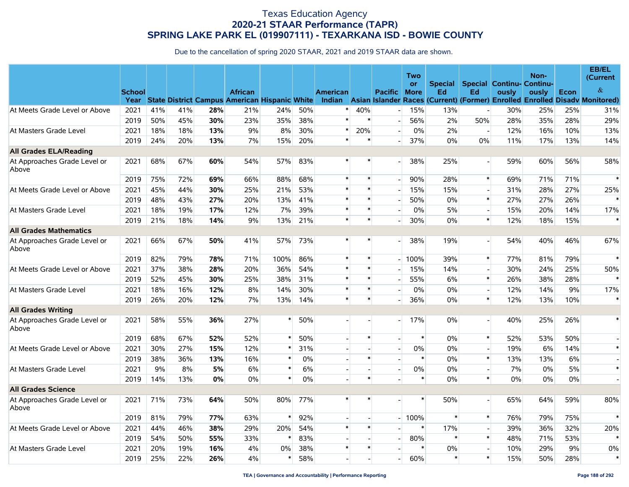|                                       |                       |     |       |     |                                                                        |        |       |                 |        |                          | Two         |                |                          |                           | Non-  |      | EB/EL<br>(Current                                                                  |
|---------------------------------------|-----------------------|-----|-------|-----|------------------------------------------------------------------------|--------|-------|-----------------|--------|--------------------------|-------------|----------------|--------------------------|---------------------------|-------|------|------------------------------------------------------------------------------------|
|                                       |                       |     |       |     |                                                                        |        |       |                 |        |                          | or          | <b>Special</b> |                          | Special Continu- Continu- |       |      | $\&$                                                                               |
|                                       | <b>School</b><br>Year |     |       |     | <b>African</b><br><b>State District Campus American Hispanic White</b> |        |       | <b>American</b> |        | <b>Pacific</b>           | <b>More</b> | Ed             | Ed                       | ously                     | ously | Econ | Indian Asian Islander Races (Current) (Former) Enrolled Enrolled Disady Monitored) |
| At Meets Grade Level or Above         | 2021                  | 41% | 41%   | 28% | 21%                                                                    | 24%    | 50%   | $\ast$          | 40%    |                          | 15%         | 13%            | $\overline{a}$           | 30%                       | 25%   | 25%  | 31%                                                                                |
|                                       | 2019                  | 50% | 45%   | 30% | 23%                                                                    | 35%    | 38%   | $\ast$          | $\ast$ |                          | 56%         | 2%             | 50%                      | 28%                       | 35%   | 28%  | 29%                                                                                |
| At Masters Grade Level                | 2021                  | 18% | 18%   | 13% | 9%                                                                     | 8%     | 30%   | $\ast$          | 20%    | $\overline{a}$           | $0\%$       | 2%             | $\sim$                   | 12%                       | 16%   | 10%  | 13%                                                                                |
|                                       | 2019                  | 24% | 20%   | 13% | 7%                                                                     | 15%    | 20%   |                 | $\ast$ | $\overline{\phantom{a}}$ | 37%         | $0\%$          | 0%                       | 11%                       | 17%   | 13%  | 14%                                                                                |
| <b>All Grades ELA/Reading</b>         |                       |     |       |     |                                                                        |        |       |                 |        |                          |             |                |                          |                           |       |      |                                                                                    |
| At Approaches Grade Level or<br>Above | 2021                  | 68% | 67%   | 60% | 54%                                                                    | 57%    | 83%   |                 | $\ast$ |                          | 38%         | 25%            | $\blacksquare$           | 59%                       | 60%   | 56%  | 58%                                                                                |
|                                       | 2019                  | 75% | 72%   | 69% | 66%                                                                    | 88%    | 68%   | $\ast$          | $\ast$ |                          | 90%         | 28%            | $\ast$                   | 69%                       | 71%   | 71%  | $\ast$                                                                             |
| At Meets Grade Level or Above         | 2021                  | 45% | 44%   | 30% | 25%                                                                    | 21%    | 53%   | $\ast$          | $\ast$ |                          | 15%         | 15%            | $\overline{\phantom{a}}$ | 31%                       | 28%   | 27%  | 25%                                                                                |
|                                       | 2019                  | 48% | 43%   | 27% | 20%                                                                    | 13%    | 41%   | $\ast$          | $\ast$ |                          | 50%         | $0\%$          | $\ast$                   | 27%                       | 27%   | 26%  |                                                                                    |
| At Masters Grade Level                | 2021                  | 18% | 19%   | 17% | 12%                                                                    | 7%     | 39%   |                 | $\ast$ |                          | $0\%$       | 5%             | $\overline{a}$           | 15%                       | 20%   | 14%  | 17%                                                                                |
|                                       | 2019                  | 21% | 18%   | 14% | 9%                                                                     | 13%    | 21%   | $\ast$          | $\ast$ |                          | 30%         | $0\%$          | $\pmb{\ast}$             | 12%                       | 18%   | 15%  | $\ast$                                                                             |
| <b>All Grades Mathematics</b>         |                       |     |       |     |                                                                        |        |       |                 |        |                          |             |                |                          |                           |       |      |                                                                                    |
| At Approaches Grade Level or<br>Above | 2021                  | 66% | 67%   | 50% | 41%                                                                    | 57%    | 73%   | $\ast$          | $\ast$ |                          | 38%         | 19%            | $\overline{\phantom{a}}$ | 54%                       | 40%   | 46%  | 67%                                                                                |
|                                       | 2019                  | 82% | 79%   | 78% | 71%                                                                    | 100%   | 86%   | $\ast$          | $\ast$ |                          | 100%        | 39%            | $\pmb{\ast}$             | 77%                       | 81%   | 79%  | $\ast$                                                                             |
| At Meets Grade Level or Above         | 2021                  | 37% | 38%   | 28% | 20%                                                                    | 36%    | 54%   | $\ast$          | $\ast$ |                          | 15%         | 14%            | $\blacksquare$           | 30%                       | 24%   | 25%  | 50%                                                                                |
|                                       | 2019                  | 52% | 45%   | 30% | 25%                                                                    | 38%    | 31%   |                 | $\ast$ |                          | 55%         | 6%             | $\pmb{\ast}$             | 26%                       | 38%   | 28%  | $\star$                                                                            |
| At Masters Grade Level                | 2021                  | 18% | 16%   | 12% | 8%                                                                     | 14%    | 30%   | $\ast$          | $\ast$ |                          | 0%          | $0\%$          | $\overline{\phantom{a}}$ | 12%                       | 14%   | 9%   | 17%                                                                                |
|                                       | 2019                  | 26% | 20%   | 12% | 7%                                                                     | 13%    | 14%   | $\ast$          | $\ast$ |                          | 36%         | $0\%$          | $\ast$                   | 12%                       | 13%   | 10%  | $\ast$                                                                             |
| <b>All Grades Writing</b>             |                       |     |       |     |                                                                        |        |       |                 |        |                          |             |                |                          |                           |       |      |                                                                                    |
| At Approaches Grade Level or<br>Above | 2021                  | 58% | 55%   | 36% | 27%                                                                    | $\ast$ | 50%   |                 |        |                          | 17%         | $0\%$          | $\sim$                   | 40%                       | 25%   | 26%  | $\ast$                                                                             |
|                                       | 2019                  | 68% | 67%   | 52% | 52%                                                                    |        | 50%   |                 | $\ast$ |                          | $\ast$      | $0\%$          | $\ast$                   | 52%                       | 53%   | 50%  |                                                                                    |
| At Meets Grade Level or Above         | 2021                  | 30% | 27%   | 15% | 12%                                                                    |        | 31%   |                 |        |                          | 0%          | $0\%$          | $\overline{\phantom{a}}$ | 19%                       | 6%    | 14%  | $\ast$                                                                             |
|                                       | 2019                  | 38% | 36%   | 13% | 16%                                                                    |        | $0\%$ |                 | $\ast$ |                          | $\ast$      | $0\%$          | $\ast$                   | 13%                       | 13%   | 6%   |                                                                                    |
| At Masters Grade Level                | 2021                  | 9%  | $8\%$ | 5%  | 6%                                                                     |        | 6%    |                 |        |                          | $0\%$       | $0\%$          | $\overline{\phantom{a}}$ | 7%                        | 0%    | 5%   | $\ast$                                                                             |
|                                       | 2019                  | 14% | 13%   | 0%  | 0%                                                                     | $\ast$ | 0%    |                 | $\ast$ |                          | $\ast$      | $0\%$          | $\ast$                   | 0%                        | 0%    | 0%   |                                                                                    |
| <b>All Grades Science</b>             |                       |     |       |     |                                                                        |        |       |                 |        |                          |             |                |                          |                           |       |      |                                                                                    |
| At Approaches Grade Level or<br>Above | 2021                  | 71% | 73%   | 64% | 50%                                                                    | 80%    | 77%   |                 | *      |                          | $\ast$      | 50%            | $\sim$                   | 65%                       | 64%   | 59%  | 80%                                                                                |
|                                       | 2019                  | 81% | 79%   | 77% | 63%                                                                    |        | 92%   |                 |        |                          | 100%        | $\ast$         | $\ast$                   | 76%                       | 79%   | 75%  | $\ast$                                                                             |
| At Meets Grade Level or Above         | 2021                  | 44% | 46%   | 38% | 29%                                                                    | 20%    | 54%   | $\ast$          | $\ast$ |                          | $\ast$      | 17%            | $\overline{a}$           | 39%                       | 36%   | 32%  | 20%                                                                                |
|                                       | 2019                  | 54% | 50%   | 55% | 33%                                                                    |        | 83%   |                 |        |                          | 80%         | $\ast$         | $\ast$                   | 48%                       | 71%   | 53%  | $\ast$                                                                             |
| At Masters Grade Level                | 2021                  | 20% | 19%   | 16% | 4%                                                                     | $0\%$  | 38%   | $\ast$          | $\ast$ |                          | $\ast$      | $0\%$          | $\mathbf{r}$             | 10%                       | 29%   | 9%   | 0%                                                                                 |
|                                       | 2019                  | 25% | 22%   | 26% | 4%                                                                     | ∗      | 58%   |                 |        |                          | 60%         | $\ast$         | $\ast$                   | 15%                       | 50%   | 28%  | $\ast$                                                                             |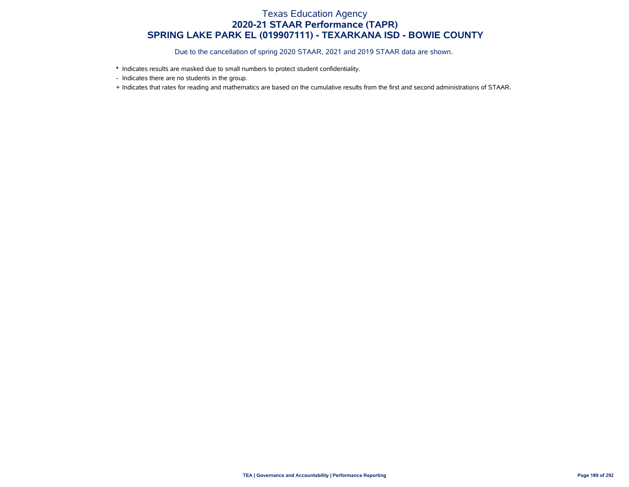- \* Indicates results are masked due to small numbers to protect student confidentiality.
- Indicates there are no students in the group.
- + Indicates that rates for reading and mathematics are based on the cumulative results from the first and second administrations of STAAR.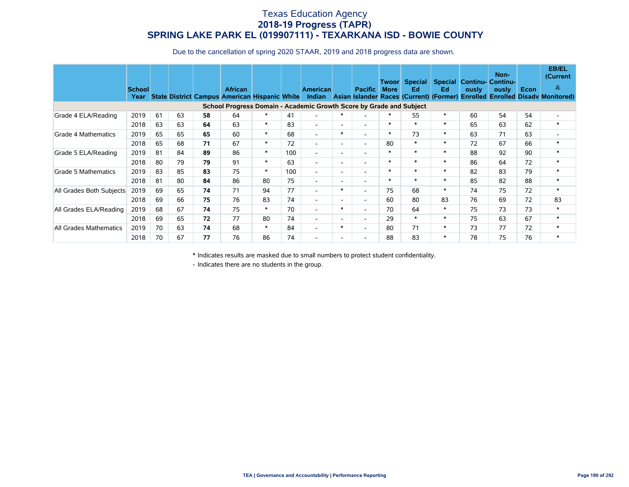Due to the cancellation of spring 2020 STAAR, 2019 and 2018 progress data are shown.

|                          | <b>School</b><br>Year |    |    |    | <b>African</b><br><b>State District Campus American Hispanic White</b> |        |     | <b>American</b>          |                          | <b>Pacific</b>           | Twoorl<br><b>More</b> | Special<br>Ed<br>Indian Asian Islander Races (Current) (Former) | Ed.    | ously | Non-<br><b>Special Continu- Continu-</b><br>ously | Econ | <b>EB/EL</b><br>(Current<br>$\&$<br><b>Enrolled Enrolled Disady Monitored)</b> |
|--------------------------|-----------------------|----|----|----|------------------------------------------------------------------------|--------|-----|--------------------------|--------------------------|--------------------------|-----------------------|-----------------------------------------------------------------|--------|-------|---------------------------------------------------|------|--------------------------------------------------------------------------------|
|                          |                       |    |    |    | School Progress Domain - Academic Growth Score by Grade and Subject    |        |     |                          |                          |                          |                       |                                                                 |        |       |                                                   |      |                                                                                |
| Grade 4 ELA/Reading      | 2019                  | 61 | 63 | 58 | 64                                                                     | $\ast$ | 41  | $\overline{\phantom{a}}$ | $\ast$                   |                          | $\ast$                | 55                                                              | $\ast$ | 60    | 54                                                | 54   | $\overline{\phantom{0}}$                                                       |
|                          | 2018                  | 63 | 63 | 64 | 63                                                                     | $\ast$ | 83  | $\overline{\phantom{a}}$ | $\overline{\phantom{a}}$ | $\overline{\phantom{0}}$ | $\ast$                | $\ast$                                                          | $\ast$ | 65    | 63                                                | 62   | $\ast$                                                                         |
| Grade 4 Mathematics      | 2019                  | 65 | 65 | 65 | 60                                                                     | $\ast$ | 68  | $\overline{\phantom{a}}$ | $\ast$                   | $\overline{\phantom{a}}$ | $\ast$                | 73                                                              | $\ast$ | 63    | 71                                                | 63   |                                                                                |
|                          | 2018                  | 65 | 68 | 71 | 67                                                                     | $\ast$ | 72  | $\overline{\phantom{a}}$ | $\sim$                   | $\overline{\phantom{0}}$ | 80                    | $\ast$                                                          | $\ast$ | 72    | 67                                                | 66   | $\ast$                                                                         |
| Grade 5 ELA/Reading      | 2019                  | 81 | 84 | 89 | 86                                                                     | $\ast$ | 100 | $\overline{\phantom{a}}$ | $\overline{\phantom{a}}$ | $\overline{\phantom{0}}$ | $\ast$                | $\ast$                                                          | $\ast$ | 88    | 92                                                | 90   | $\ast$                                                                         |
|                          | 2018                  | 80 | 79 | 79 | 91                                                                     | $\ast$ | 63  | $\overline{\phantom{a}}$ | $\sim$                   | $\overline{\phantom{0}}$ | $\ast$                | $\ast$                                                          | $\ast$ | 86    | 64                                                | 72   | $\ast$                                                                         |
| Grade 5 Mathematics      | 2019                  | 83 | 85 | 83 | 75                                                                     | $\ast$ | 100 | $\overline{\phantom{a}}$ | $\overline{a}$           | $\overline{\phantom{0}}$ | $\ast$                | $\ast$                                                          | $\ast$ | 82    | 83                                                | 79   | $\ast$                                                                         |
|                          | 2018                  | 81 | 80 | 84 | 86                                                                     | 80     | 75  | $\overline{\phantom{a}}$ | $\sim$                   | $\overline{\phantom{0}}$ | $\ast$                | $\ast$                                                          | $\ast$ | 85    | 82                                                | 88   | $\ast$                                                                         |
| All Grades Both Subjects | 2019                  | 69 | 65 | 74 | 71                                                                     | 94     | 77  | $\overline{\phantom{a}}$ | $\ast$                   | $\overline{\phantom{a}}$ | 75                    | 68                                                              | $\ast$ | 74    | 75                                                | 72   | $\ast$                                                                         |
|                          | 2018                  | 69 | 66 | 75 | 76                                                                     | 83     | 74  | $\overline{\phantom{a}}$ | $\overline{a}$           | $\overline{\phantom{0}}$ | 60                    | 80                                                              | 83     | 76    | 69                                                | 72   | 83                                                                             |
| All Grades ELA/Reading   | 2019                  | 68 | 67 | 74 | 75                                                                     | $\ast$ | 70  | $\overline{\phantom{a}}$ | $\ast$                   | $\overline{\phantom{a}}$ | 70                    | 64                                                              | $\ast$ | 75    | 73                                                | 73   | $\ast$                                                                         |
|                          | 2018                  | 69 | 65 | 72 | 77                                                                     | 80     | 74  | $\overline{\phantom{a}}$ | $\overline{a}$           | $\overline{\phantom{0}}$ | 29                    | $\ast$                                                          | $\ast$ | 75    | 63                                                | 67   | $\ast$                                                                         |
| All Grades Mathematics   | 2019                  | 70 | 63 | 74 | 68                                                                     | $\ast$ | 84  | $\overline{\phantom{a}}$ | $\ast$                   | $\overline{\phantom{a}}$ | 80                    | 71                                                              | $\ast$ | 73    | 77                                                | 72   | $\ast$                                                                         |
|                          | 2018                  | 70 | 67 | 77 | 76                                                                     | 86     | 74  |                          | $\overline{\phantom{a}}$ |                          | 88                    | 83                                                              | $\ast$ | 78    | 75                                                | 76   | $\ast$                                                                         |

\* Indicates results are masked due to small numbers to protect student confidentiality.

- Indicates there are no students in the group.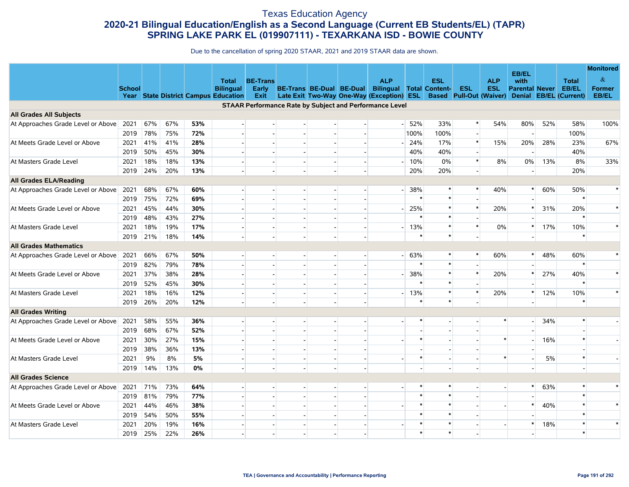#### Texas Education Agency **2020-21 Bilingual Education/English as a Second Language (Current EB Students/EL) (TAPR) SPRING LAKE PARK EL (019907111) - TEXARKANA ISD - BOWIE COUNTY**

|                                    |               |     |     |     |                                      |                          |                          |                          |                |                                                                |                |            |            |                                |                       |     |                        | <b>Monitored</b> |
|------------------------------------|---------------|-----|-----|-----|--------------------------------------|--------------------------|--------------------------|--------------------------|----------------|----------------------------------------------------------------|----------------|------------|------------|--------------------------------|-----------------------|-----|------------------------|------------------|
|                                    |               |     |     |     | Total                                | <b>BE-Trans</b>          |                          |                          |                | <b>ALP</b>                                                     |                | <b>ESL</b> |            | <b>ALP</b>                     | EB/EL<br>with         |     | <b>Total</b>           | $\&$             |
|                                    | <b>School</b> |     |     |     | <b>Bilingual</b>                     | Early                    | BE-Trans BE-Dual BE-Dual |                          |                | <b>Bilingual Total Content-</b>                                |                |            | <b>ESL</b> | <b>ESL</b>                     | <b>Parental Never</b> |     | EB/EL                  | <b>Former</b>    |
|                                    |               |     |     |     | Year State District Campus Education | Exit                     |                          |                          |                | Late Exit Two-Way One-Way (Exception) ESL                      |                |            |            | <b>Based</b> Pull-Out (Waiver) |                       |     | Denial EB/EL (Current) | EB/EL            |
|                                    |               |     |     |     |                                      |                          |                          |                          |                | <b>STAAR Performance Rate by Subject and Performance Level</b> |                |            |            |                                |                       |     |                        |                  |
| <b>All Grades All Subjects</b>     |               |     |     |     |                                      |                          |                          |                          |                |                                                                |                |            |            |                                |                       |     |                        |                  |
| At Approaches Grade Level or Above | 2021          | 67% | 67% | 53% |                                      |                          |                          |                          |                |                                                                | $-152%$        | 33%        |            | 54%                            | 80%                   | 52% | 58%                    | 100%             |
|                                    | 2019          | 78% | 75% | 72% |                                      |                          |                          |                          |                |                                                                | 100%           | 100%       |            |                                |                       |     | 100%                   |                  |
| At Meets Grade Level or Above      | 2021          | 41% | 41% | 28% | $\overline{\phantom{a}}$             | $\overline{a}$           | $\overline{a}$           |                          |                |                                                                | 24%            | 17%        | $\ast$     | 15%                            | 20%                   | 28% | 23%                    | 67%              |
|                                    | 2019          | 50% | 45% | 30% | $\overline{\phantom{a}}$             | $\sim$                   | $\overline{a}$           |                          |                |                                                                | 40%            | 40%        | $\ast$     |                                |                       |     | 40%                    |                  |
| At Masters Grade Level             | 2021          | 18% | 18% | 13% |                                      |                          |                          |                          |                |                                                                | $-10%$         | 0%         |            | 8%                             | 0%                    | 13% | 8%                     | 33%              |
|                                    | 2019          | 24% | 20% | 13% |                                      |                          |                          |                          |                |                                                                | 20%            | 20%        |            |                                |                       |     | 20%                    |                  |
| <b>All Grades ELA/Reading</b>      |               |     |     |     |                                      |                          |                          |                          |                |                                                                |                |            |            |                                |                       |     |                        |                  |
| At Approaches Grade Level or Above | 2021          | 68% | 67% | 60% | $\overline{\phantom{a}}$             | $\overline{\phantom{a}}$ |                          |                          |                |                                                                | 38%            |            |            | 40%                            | $\ast$                | 60% | 50%                    | $\ast$           |
|                                    | 2019          | 75% | 72% | 69% |                                      |                          |                          |                          |                |                                                                | $\ast$         | $\ast$     |            |                                |                       |     | $\ast$                 |                  |
| At Meets Grade Level or Above      | 2021          | 45% | 44% | 30% |                                      |                          | $\overline{a}$           |                          |                |                                                                | 25%            |            |            | 20%                            |                       | 31% | 20%                    | $\ast$           |
|                                    | 2019          | 48% | 43% | 27% | $\overline{\phantom{a}}$             | $\overline{\phantom{a}}$ | $\overline{a}$           |                          |                |                                                                |                |            |            |                                |                       |     | $\ast$                 |                  |
| At Masters Grade Level             | 2021          | 18% | 19% | 17% |                                      |                          |                          |                          |                |                                                                | $-13%$         | $\ast$     |            | 0%                             |                       | 17% | 10%                    | $\ast$           |
|                                    | 2019          | 21% | 18% | 14% |                                      |                          |                          |                          |                |                                                                | 米              | $\ast$     |            |                                |                       |     |                        |                  |
| <b>All Grades Mathematics</b>      |               |     |     |     |                                      |                          |                          |                          |                |                                                                |                |            |            |                                |                       |     |                        |                  |
| At Approaches Grade Level or Above | 2021          | 66% | 67% | 50% | $\overline{\phantom{a}}$             | $\sim$                   | $\overline{\phantom{a}}$ |                          |                | $-1$                                                           | 63%            | $\ast$     |            | 60%                            | $\ast$                | 48% | 60%                    | $\ast$           |
|                                    | 2019          | 82% | 79% | 78% | $\overline{\phantom{a}}$             |                          |                          |                          |                |                                                                | $\ast$         | $\ast$     |            |                                |                       |     | $\ast$                 |                  |
| At Meets Grade Level or Above      | 2021          | 37% | 38% | 28% | $\sim$                               |                          | $\mathbf{r}$             |                          |                |                                                                | 38%            | $\ast$     |            | 20%                            |                       | 27% | 40%                    | $\ast$           |
|                                    | 2019          | 52% | 45% | 30% | $\overline{\phantom{a}}$             | $\overline{a}$           | $\overline{a}$           |                          |                |                                                                | $\ast$         | $*$        |            |                                |                       |     | $\ast$                 |                  |
| At Masters Grade Level             | 2021          | 18% | 16% | 12% | $\overline{\phantom{a}}$             | $\sim$                   | $\overline{a}$           | $\sim$                   |                | $\overline{\phantom{0}}$                                       | 13%            | $\ast$     |            | 20%                            |                       | 12% | 10%                    | $\ast$           |
|                                    | 2019          | 26% | 20% | 12% |                                      |                          |                          |                          |                |                                                                | $\ast$         | $\ast$     |            |                                |                       |     | $\ast$                 |                  |
| <b>All Grades Writing</b>          |               |     |     |     |                                      |                          |                          |                          |                |                                                                |                |            |            |                                |                       |     |                        |                  |
| At Approaches Grade Level or Above | 2021          | 58% | 55% | 36% | $\sim$                               | $\sim$                   | $\overline{\phantom{a}}$ |                          |                |                                                                | $\ast$         |            |            | $\ast$                         |                       | 34% | $\ast$                 |                  |
|                                    | 2019          | 68% | 67% | 52% |                                      | $\sim$                   | $\blacksquare$           |                          |                |                                                                | $\blacksquare$ |            |            |                                |                       |     |                        |                  |
| At Meets Grade Level or Above      | 2021          | 30% | 27% | 15% | $\overline{\phantom{a}}$             |                          | $\overline{a}$           |                          |                |                                                                | $\ast$         |            |            | $\ast$                         |                       | 16% | $\ast$                 |                  |
|                                    | 2019          | 38% | 36% | 13% | $\overline{\phantom{a}}$             | $\overline{a}$           | $\overline{\phantom{a}}$ |                          |                |                                                                |                |            |            |                                |                       |     |                        |                  |
| At Masters Grade Level             | 2021          | 9%  | 8%  | 5%  | $\overline{\phantom{a}}$             | $\sim$                   | $\overline{a}$           | $\sim$                   |                |                                                                | $\ast$         |            |            | $\ast$                         |                       | 5%  | $\ast$                 |                  |
|                                    | 2019          | 14% | 13% | 0%  |                                      |                          |                          |                          |                |                                                                |                |            |            |                                |                       |     |                        |                  |
| <b>All Grades Science</b>          |               |     |     |     |                                      |                          |                          |                          |                |                                                                |                |            |            |                                |                       |     |                        |                  |
| At Approaches Grade Level or Above | 2021          | 71% | 73% | 64% | $\overline{\phantom{a}}$             | $\overline{a}$           | н.                       |                          | $\overline{a}$ |                                                                | $\ast$         | $\ast$     |            |                                | $\ast$                | 63% | $\ast$                 | $\ast$           |
|                                    | 2019          | 81% | 79% | 77% | $\overline{\phantom{a}}$             | $\overline{\phantom{a}}$ | $\overline{\phantom{a}}$ | $\overline{\phantom{a}}$ |                |                                                                | $\ast$         | $\ast$     |            |                                |                       |     |                        |                  |
| At Meets Grade Level or Above      | 2021          | 44% | 46% | 38% |                                      |                          |                          |                          |                |                                                                | $\ast$         | $\ast$     |            |                                | $\ast$                | 40% | $\ast$                 | $\ast$           |
|                                    | 2019          | 54% | 50% | 55% |                                      |                          |                          |                          |                |                                                                | $\ast$         | $\ast$     |            |                                |                       |     | $\ast$                 |                  |
| At Masters Grade Level             | 2021          | 20% | 19% | 16% |                                      | $\overline{\phantom{a}}$ | $\overline{a}$           | $\sim$                   |                |                                                                | $\ast$         | $\ast$     |            |                                | *                     | 18% | $\ast$                 | $\ast$           |
|                                    | 2019          | 25% | 22% | 26% |                                      |                          |                          |                          |                |                                                                |                |            |            |                                |                       |     |                        |                  |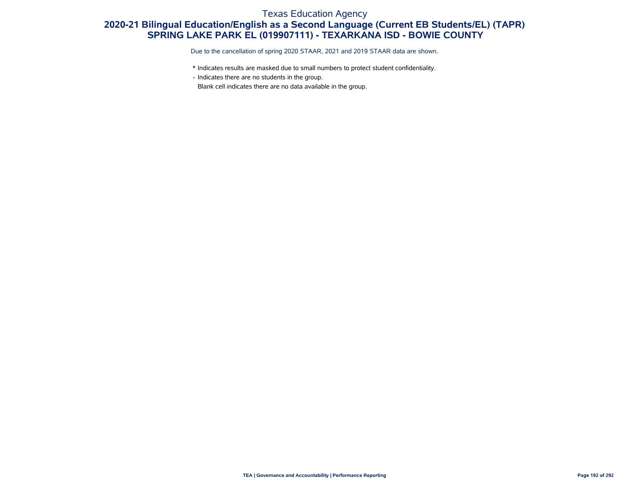#### Texas Education Agency

### **2020-21 Bilingual Education/English as a Second Language (Current EB Students/EL) (TAPR) SPRING LAKE PARK EL (019907111) - TEXARKANA ISD - BOWIE COUNTY**

Due to the cancellation of spring 2020 STAAR, 2021 and 2019 STAAR data are shown.

- \* Indicates results are masked due to small numbers to protect student confidentiality.
- Indicates there are no students in the group.

Blank cell indicates there are no data available in the group.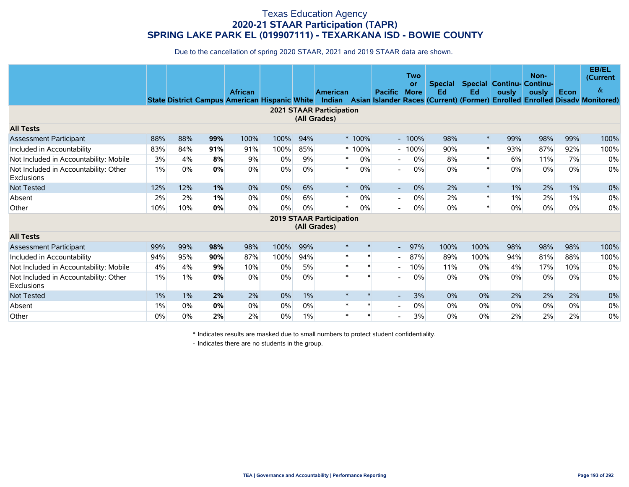Due to the cancellation of spring 2020 STAAR, 2021 and 2019 STAAR data are shown.

|                                                            |     |       |     | <b>African</b><br><b>State District Campus American Hispanic White</b> |      |       | American                                        |         | <b>Pacific</b>           | Two<br>or<br><b>More</b> | <b>Special</b><br>Ed | Ed     | ously | Non-<br><b>Special Continu- Continu-</b><br>ously | Econ  | <b>EB/EL</b><br>(Current<br>&<br>Indian Asian Islander Races (Current) (Former) Enrolled Enrolled Disady Monitored) |
|------------------------------------------------------------|-----|-------|-----|------------------------------------------------------------------------|------|-------|-------------------------------------------------|---------|--------------------------|--------------------------|----------------------|--------|-------|---------------------------------------------------|-------|---------------------------------------------------------------------------------------------------------------------|
|                                                            |     |       |     |                                                                        |      |       | <b>2021 STAAR Participation</b><br>(All Grades) |         |                          |                          |                      |        |       |                                                   |       |                                                                                                                     |
| <b>All Tests</b>                                           |     |       |     |                                                                        |      |       |                                                 |         |                          |                          |                      |        |       |                                                   |       |                                                                                                                     |
| <b>Assessment Participant</b>                              | 88% | 88%   | 99% | 100%                                                                   | 100% | 94%   |                                                 | * 100%  |                          | $-100%$                  | 98%                  | $\ast$ | 99%   | 98%                                               | 99%   | 100%                                                                                                                |
| Included in Accountability                                 | 83% | 84%   | 91% | 91%                                                                    | 100% | 85%   |                                                 | $*100%$ |                          | 100%                     | 90%                  | $\ast$ | 93%   | 87%                                               | 92%   | 100%                                                                                                                |
| Not Included in Accountability: Mobile                     | 3%  | 4%    | 8%  | 9%                                                                     | 0%   | 9%    | *                                               | 0%      |                          | 0%                       | 8%                   | $\ast$ | 6%    | 11%                                               | 7%    | 0%                                                                                                                  |
| Not Included in Accountability: Other<br><b>Exclusions</b> | 1%  | 0%    | 0%  | 0%                                                                     | 0%   | 0%    | $\ast$                                          | 0%      |                          | 0%                       | $0\%$                | $\ast$ | 0%    | 0%                                                | 0%    | 0%                                                                                                                  |
| <b>Not Tested</b>                                          | 12% | 12%   | 1%  | 0%                                                                     | 0%   | 6%    | $\ast$                                          | 0%      | $\overline{\phantom{0}}$ | 0%                       | 2%                   | $\ast$ | $1\%$ | 2%                                                | $1\%$ | 0%                                                                                                                  |
| Absent                                                     | 2%  | 2%    | 1%  | 0%                                                                     | 0%   | 6%    | *                                               | 0%      | $\overline{\phantom{a}}$ | $0\%$                    | 2%                   | $\ast$ | $1\%$ | 2%                                                | $1\%$ | 0%                                                                                                                  |
| Other                                                      | 10% | 10%   | 0%  | 0%                                                                     | 0%   | 0%    | *                                               | 0%      |                          | 0%                       | 0%                   | $\ast$ | 0%    | 0%                                                | 0%    | 0%                                                                                                                  |
|                                                            |     |       |     |                                                                        |      |       | <b>2019 STAAR Participation</b><br>(All Grades) |         |                          |                          |                      |        |       |                                                   |       |                                                                                                                     |
| <b>All Tests</b>                                           |     |       |     |                                                                        |      |       |                                                 |         |                          |                          |                      |        |       |                                                   |       |                                                                                                                     |
| Assessment Participant                                     | 99% | 99%   | 98% | 98%                                                                    | 100% | 99%   | $\ast$                                          | $\ast$  | $\blacksquare$           | 97%                      | 100%                 | 100%   | 98%   | 98%                                               | 98%   | 100%                                                                                                                |
| Included in Accountability                                 | 94% | 95%   | 90% | 87%                                                                    | 100% | 94%   | $\ast$                                          |         | $\overline{\phantom{0}}$ | 87%                      | 89%                  | 100%   | 94%   | 81%                                               | 88%   | 100%                                                                                                                |
| Not Included in Accountability: Mobile                     | 4%  | 4%    | 9%  | 10%                                                                    | 0%   | 5%    |                                                 |         |                          | 10%                      | 11%                  | $0\%$  | 4%    | 17%                                               | 10%   | 0%                                                                                                                  |
| Not Included in Accountability: Other<br>Exclusions        | 1%  | 1%    | 0%  | 0%                                                                     | 0%   | 0%    |                                                 |         |                          | 0%                       | $0\%$                | $0\%$  | 0%    | 0%                                                | 0%    | 0%                                                                                                                  |
| Not Tested                                                 | 1%  | $1\%$ | 2%  | 2%                                                                     | 0%   | $1\%$ | $\ast$                                          |         |                          | 3%                       | $0\%$                | 0%     | 2%    | 2%                                                | 2%    | 0%                                                                                                                  |
| Absent                                                     | 1%  | 0%    | 0%  | 0%                                                                     | 0%   | 0%    | $\ast$                                          | $\ast$  |                          | 0%                       | $0\%$                | $0\%$  | 0%    | 0%                                                | $0\%$ | 0%                                                                                                                  |
| Other                                                      | 0%  | 0%    | 2%  | 2%                                                                     | 0%   | 1%    |                                                 |         |                          | 3%                       | 0%                   | $0\%$  | 2%    | 2%                                                | 2%    | 0%                                                                                                                  |

\* Indicates results are masked due to small numbers to protect student confidentiality.

- Indicates there are no students in the group.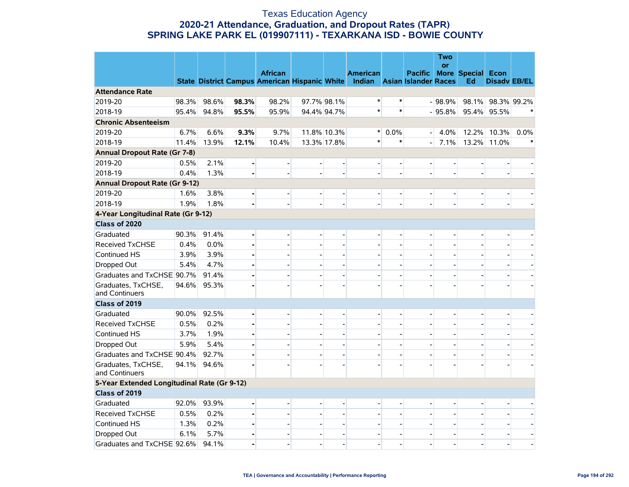#### Texas Education Agency **2020-21 Attendance, Graduation, and Dropout Rates (TAPR) SPRING LAKE PARK EL (019907111) - TEXARKANA ISD - BOWIE COUNTY**

|                                             |       |       |                | <b>African</b>                                                            |                          |                          | <b>American</b>          |                          |                          | <b>Two</b><br>or | Pacific More Special Econ |                          |                          |
|---------------------------------------------|-------|-------|----------------|---------------------------------------------------------------------------|--------------------------|--------------------------|--------------------------|--------------------------|--------------------------|------------------|---------------------------|--------------------------|--------------------------|
|                                             |       |       |                | State District Campus American Hispanic White Indian Asian Islander Races |                          |                          |                          |                          |                          |                  | Ed                        | <b>Disady EB/EL</b>      |                          |
| <b>Attendance Rate</b>                      |       |       |                |                                                                           |                          |                          |                          |                          |                          |                  |                           |                          |                          |
| 2019-20                                     | 98.3% | 98.6% | 98.3%          | 98.2%                                                                     |                          | 97.7% 98.1%              | $\ast$                   | ∗                        |                          | $-98.9%$         |                           | 98.1% 98.3% 99.2%        |                          |
| 2018-19                                     | 95.4% | 94.8% | 95.5%          | 95.9%                                                                     |                          | 94.4% 94.7%              | $\ast$                   | $\ast$                   |                          | $-95.8%$         |                           | 95.4% 95.5%              |                          |
| <b>Chronic Absenteeism</b>                  |       |       |                |                                                                           |                          |                          |                          |                          |                          |                  |                           |                          |                          |
| 2019-20                                     | 6.7%  | 6.6%  | 9.3%           | 9.7%                                                                      |                          | 11.8% 10.3%              | $\ast$                   | 0.0%                     | $\overline{a}$           | 4.0%             |                           | 12.2% 10.3%              | 0.0%                     |
| 2018-19                                     | 11.4% | 13.9% | 12.1%          | 10.4%                                                                     |                          | 13.3% 17.8%              | $\ast$                   | $\ast$                   |                          | 7.1%             |                           | 13.2% 11.0%              | $\ast$                   |
| <b>Annual Dropout Rate (Gr 7-8)</b>         |       |       |                |                                                                           |                          |                          |                          |                          |                          |                  |                           |                          |                          |
| 2019-20                                     | 0.5%  | 2.1%  | $\blacksquare$ | $\blacksquare$                                                            | $\blacksquare$           | $\blacksquare$           | $\overline{\phantom{a}}$ | $\overline{\phantom{a}}$ | $\overline{\phantom{0}}$ |                  |                           | $\overline{a}$           |                          |
| 2018-19                                     | 0.4%  | 1.3%  |                |                                                                           | $\overline{\phantom{a}}$ |                          |                          |                          |                          |                  |                           | $\overline{\phantom{a}}$ |                          |
| <b>Annual Dropout Rate (Gr 9-12)</b>        |       |       |                |                                                                           |                          |                          |                          |                          |                          |                  |                           |                          |                          |
| 2019-20                                     | 1.6%  | 3.8%  |                |                                                                           | $\overline{\phantom{a}}$ | $\blacksquare$           |                          |                          |                          |                  |                           | $\overline{a}$           |                          |
| 2018-19                                     | 1.9%  | 1.8%  |                |                                                                           |                          |                          |                          |                          |                          |                  |                           |                          |                          |
| 4-Year Longitudinal Rate (Gr 9-12)          |       |       |                |                                                                           |                          |                          |                          |                          |                          |                  |                           |                          |                          |
| Class of 2020                               |       |       |                |                                                                           |                          |                          |                          |                          |                          |                  |                           |                          |                          |
| Graduated                                   | 90.3% | 91.4% | $\blacksquare$ | $\overline{a}$                                                            | $\overline{\phantom{a}}$ | $\blacksquare$           | $\overline{\phantom{a}}$ | $\overline{a}$           | $\overline{\phantom{a}}$ |                  |                           | -                        |                          |
| <b>Received TxCHSE</b>                      | 0.4%  | 0.0%  |                | $\overline{a}$                                                            | $\overline{a}$           |                          |                          |                          |                          |                  |                           | $\overline{a}$           |                          |
| Continued HS                                | 3.9%  | 3.9%  |                | $\overline{a}$                                                            | $\overline{a}$           |                          |                          |                          |                          |                  |                           | $\overline{a}$           |                          |
| Dropped Out                                 | 5.4%  | 4.7%  |                |                                                                           | $\overline{a}$           |                          |                          |                          |                          |                  |                           |                          |                          |
| Graduates and TxCHSE 90.7%                  |       | 91.4% |                | $\overline{a}$                                                            | $\overline{a}$           | $\blacksquare$           |                          | $\overline{a}$           |                          |                  |                           | $\overline{a}$           | $\overline{\phantom{a}}$ |
| Graduates, TxCHSE,<br>and Continuers        | 94.6% | 95.3% |                |                                                                           | $\overline{a}$           |                          |                          |                          |                          |                  |                           |                          |                          |
| Class of 2019                               |       |       |                |                                                                           |                          |                          |                          |                          |                          |                  |                           |                          |                          |
| Graduated                                   | 90.0% | 92.5% | $\blacksquare$ |                                                                           | $\overline{\phantom{a}}$ | $\overline{\phantom{a}}$ |                          |                          |                          |                  |                           | $\overline{\phantom{a}}$ |                          |
| <b>Received TxCHSE</b>                      | 0.5%  | 0.2%  |                | $\overline{a}$                                                            | $\overline{a}$           |                          |                          |                          |                          |                  |                           | $\overline{a}$           |                          |
| Continued HS                                | 3.7%  | 1.9%  |                |                                                                           | $\overline{a}$           |                          |                          |                          |                          |                  |                           |                          |                          |
| Dropped Out                                 | 5.9%  | 5.4%  |                | $\overline{a}$                                                            | $\overline{a}$           | $\overline{a}$           |                          |                          |                          |                  |                           | $\overline{\phantom{a}}$ |                          |
| Graduates and TxCHSE 90.4%                  |       | 92.7% |                | $\overline{a}$                                                            | $\blacksquare$           | $\blacksquare$           |                          | $\overline{\phantom{a}}$ |                          |                  |                           | $\overline{\phantom{0}}$ | $\overline{\phantom{a}}$ |
| Graduates, TxCHSE,<br>and Continuers        | 94.1% | 94.6% |                |                                                                           |                          |                          |                          |                          |                          |                  |                           |                          |                          |
| 5-Year Extended Longitudinal Rate (Gr 9-12) |       |       |                |                                                                           |                          |                          |                          |                          |                          |                  |                           |                          |                          |
| Class of 2019                               |       |       |                |                                                                           |                          |                          |                          |                          |                          |                  |                           |                          |                          |
| Graduated                                   | 92.0% | 93.9% | $\blacksquare$ |                                                                           | $\overline{\phantom{a}}$ | $\overline{\phantom{a}}$ |                          |                          |                          |                  |                           |                          |                          |
| <b>Received TxCHSE</b>                      | 0.5%  | 0.2%  |                | $\overline{a}$                                                            | $\overline{a}$           |                          |                          |                          |                          |                  |                           | $\overline{\phantom{a}}$ |                          |
| Continued HS                                | 1.3%  | 0.2%  |                | $\overline{a}$                                                            | $\blacksquare$           | $\blacksquare$           | $\overline{\phantom{a}}$ | $\blacksquare$           |                          |                  |                           | $\blacksquare$           | $\overline{\phantom{a}}$ |
| Dropped Out                                 | 6.1%  | 5.7%  |                | $\overline{\phantom{a}}$                                                  | $\overline{\phantom{a}}$ | $\blacksquare$           |                          | $\overline{a}$           | $\overline{\phantom{a}}$ |                  |                           | $\overline{\phantom{a}}$ | $\overline{\phantom{a}}$ |
| Graduates and TxCHSE 92.6%                  |       | 94.1% |                |                                                                           |                          |                          |                          |                          |                          |                  |                           |                          |                          |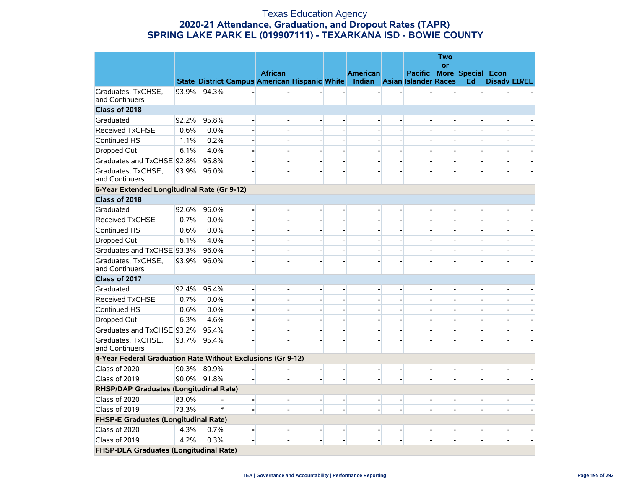#### Texas Education Agency **2020-21 Attendance, Graduation, and Dropout Rates (TAPR) SPRING LAKE PARK EL (019907111) - TEXARKANA ISD - BOWIE COUNTY**

|                                                             |       |       |                                                      |                          |                          |                          |                |                                  | Two<br><b>or</b> |                          |                          |                          |
|-------------------------------------------------------------|-------|-------|------------------------------------------------------|--------------------------|--------------------------|--------------------------|----------------|----------------------------------|------------------|--------------------------|--------------------------|--------------------------|
|                                                             |       |       | <b>African</b>                                       |                          |                          | <b>American</b>          |                | <b>Pacific More Special Econ</b> |                  |                          |                          |                          |
|                                                             |       |       | State District Campus American Hispanic White Indian |                          |                          |                          |                | <b>Asian Islander Races</b>      |                  | Ed                       | <b>Disadv EB/EL</b>      |                          |
| Graduates, TxCHSE,<br>and Continuers                        | 93.9% | 94.3% |                                                      |                          |                          |                          |                |                                  |                  |                          |                          |                          |
| Class of 2018                                               |       |       |                                                      |                          |                          |                          |                |                                  |                  |                          |                          |                          |
| Graduated                                                   | 92.2% | 95.8% |                                                      |                          |                          |                          |                |                                  |                  |                          |                          |                          |
| <b>Received TxCHSE</b>                                      | 0.6%  | 0.0%  |                                                      | $\overline{a}$           |                          |                          |                |                                  |                  |                          |                          |                          |
| Continued HS                                                | 1.1%  | 0.2%  |                                                      | $\overline{\phantom{0}}$ | $\overline{\phantom{a}}$ |                          |                |                                  |                  |                          |                          |                          |
| Dropped Out                                                 | 6.1%  | 4.0%  |                                                      | $\overline{\phantom{a}}$ | $\overline{\phantom{a}}$ |                          |                |                                  |                  |                          |                          |                          |
| Graduates and TxCHSE 92.8%                                  |       | 95.8% |                                                      | $\overline{a}$           |                          |                          |                |                                  |                  |                          |                          |                          |
| Graduates, TxCHSE,<br>and Continuers                        | 93.9% | 96.0% |                                                      |                          |                          |                          |                |                                  |                  |                          |                          |                          |
| 6-Year Extended Longitudinal Rate (Gr 9-12)                 |       |       |                                                      |                          |                          |                          |                |                                  |                  |                          |                          |                          |
| Class of 2018                                               |       |       |                                                      |                          |                          |                          |                |                                  |                  |                          |                          |                          |
| Graduated                                                   | 92.6% | 96.0% |                                                      | $\overline{\phantom{a}}$ |                          |                          |                |                                  |                  |                          |                          |                          |
| <b>Received TxCHSE</b>                                      | 0.7%  | 0.0%  |                                                      | $\overline{a}$           |                          |                          |                |                                  |                  |                          |                          |                          |
| Continued HS                                                | 0.6%  | 0.0%  |                                                      | $\overline{a}$           |                          |                          |                |                                  |                  |                          |                          |                          |
| Dropped Out                                                 | 6.1%  | 4.0%  | $\overline{a}$                                       | $\overline{a}$           | $\overline{a}$           |                          |                |                                  |                  |                          |                          |                          |
| Graduates and TxCHSE 93.3%                                  |       | 96.0% |                                                      | $\overline{\phantom{0}}$ | $\overline{\phantom{0}}$ |                          |                |                                  |                  |                          |                          |                          |
| Graduates, TxCHSE,<br>and Continuers                        | 93.9% | 96.0% |                                                      |                          |                          |                          |                |                                  |                  |                          |                          |                          |
| Class of 2017                                               |       |       |                                                      |                          |                          |                          |                |                                  |                  |                          |                          |                          |
| Graduated                                                   | 92.4% | 95.4% |                                                      | $\overline{\phantom{a}}$ |                          |                          |                |                                  |                  |                          |                          |                          |
| <b>Received TxCHSE</b>                                      | 0.7%  | 0.0%  | $\overline{a}$                                       | $\overline{a}$           | $\overline{a}$           |                          |                |                                  |                  |                          |                          |                          |
| Continued HS                                                | 0.6%  | 0.0%  | $\overline{a}$                                       | $\overline{\phantom{a}}$ | $\overline{\phantom{a}}$ |                          |                |                                  |                  |                          | $\overline{\phantom{0}}$ | $\overline{\phantom{a}}$ |
| Dropped Out                                                 | 6.3%  | 4.6%  |                                                      | -                        |                          |                          |                |                                  |                  |                          |                          |                          |
| Graduates and TxCHSE 93.2%                                  |       | 95.4% |                                                      |                          |                          |                          |                |                                  |                  |                          |                          |                          |
| Graduates, TxCHSE,<br>and Continuers                        | 93.7% | 95.4% |                                                      |                          |                          |                          |                |                                  |                  |                          |                          |                          |
| 4-Year Federal Graduation Rate Without Exclusions (Gr 9-12) |       |       |                                                      |                          |                          |                          |                |                                  |                  |                          |                          |                          |
| Class of 2020                                               | 90.3% | 89.9% |                                                      | $\overline{\phantom{a}}$ | $\overline{a}$           |                          |                | $\overline{\phantom{a}}$         |                  |                          |                          |                          |
| Class of 2019                                               | 90.0% | 91.8% |                                                      | $\overline{a}$           |                          |                          |                |                                  |                  |                          |                          |                          |
| <b>RHSP/DAP Graduates (Longitudinal Rate)</b>               |       |       |                                                      |                          |                          |                          |                |                                  |                  |                          |                          |                          |
| Class of 2020                                               | 83.0% |       |                                                      | $\overline{a}$           | $\overline{\phantom{a}}$ | $\overline{\phantom{a}}$ | $\overline{a}$ |                                  |                  |                          |                          |                          |
| Class of 2019                                               | 73.3% |       |                                                      | $\overline{a}$           | $\overline{a}$           |                          |                |                                  |                  | $\overline{\phantom{a}}$ | $\blacksquare$           |                          |
| <b>FHSP-E Graduates (Longitudinal Rate)</b>                 |       |       |                                                      |                          |                          |                          |                |                                  |                  |                          |                          |                          |
| Class of 2020                                               | 4.3%  | 0.7%  |                                                      | $\overline{\phantom{a}}$ | $\overline{\phantom{a}}$ |                          |                |                                  |                  |                          | $\overline{a}$           |                          |
| Class of 2019                                               | 4.2%  | 0.3%  |                                                      |                          |                          |                          |                |                                  |                  |                          |                          |                          |
| <b>FHSP-DLA Graduates (Longitudinal Rate)</b>               |       |       |                                                      |                          |                          |                          |                |                                  |                  |                          |                          |                          |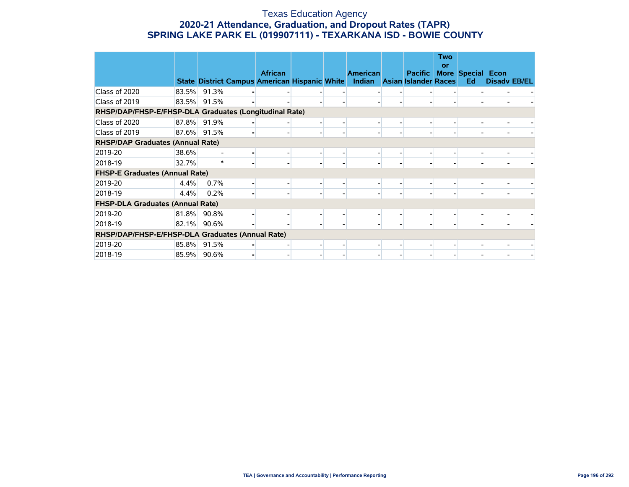#### Texas Education Agency **2020-21 Attendance, Graduation, and Dropout Rates (TAPR) SPRING LAKE PARK EL (019907111) - TEXARKANA ISD - BOWIE COUNTY**

|                                                        |       |          |                                                                        |                          |                           |                                               | <b>Two</b><br>or |                                |                     |  |
|--------------------------------------------------------|-------|----------|------------------------------------------------------------------------|--------------------------|---------------------------|-----------------------------------------------|------------------|--------------------------------|---------------------|--|
|                                                        |       |          | <b>African</b><br><b>State District Campus American Hispanic White</b> |                          | <b>American</b><br>Indian | <b>Pacific</b><br><b>Asian Islander Races</b> |                  | <b>More Special Econ</b><br>Ed | <b>Disady EB/EL</b> |  |
| Class of 2020                                          | 83.5% | 91.3%    |                                                                        |                          |                           |                                               |                  |                                |                     |  |
| Class of 2019                                          | 83.5% | 91.5%    |                                                                        |                          |                           |                                               |                  |                                |                     |  |
| RHSP/DAP/FHSP-E/FHSP-DLA Graduates (Longitudinal Rate) |       |          |                                                                        |                          |                           |                                               |                  |                                |                     |  |
| Class of 2020                                          | 87.8% | 91.9%    |                                                                        |                          |                           |                                               |                  |                                |                     |  |
| Class of 2019                                          | 87.6% | 91.5%    |                                                                        | $\overline{\phantom{0}}$ |                           |                                               |                  |                                |                     |  |
| <b>RHSP/DAP Graduates (Annual Rate)</b>                |       |          |                                                                        |                          |                           |                                               |                  |                                |                     |  |
| 2019-20                                                | 38.6% |          |                                                                        |                          |                           |                                               |                  |                                |                     |  |
| 2018-19                                                | 32.7% |          |                                                                        | $\overline{\phantom{0}}$ | ۰                         |                                               |                  |                                |                     |  |
| <b>FHSP-E Graduates (Annual Rate)</b>                  |       |          |                                                                        |                          |                           |                                               |                  |                                |                     |  |
| 2019-20                                                | 4.4%  | 0.7%     |                                                                        |                          |                           |                                               |                  |                                |                     |  |
| 2018-19                                                | 4.4%  | 0.2%     |                                                                        |                          |                           |                                               |                  |                                |                     |  |
| <b>FHSP-DLA Graduates (Annual Rate)</b>                |       |          |                                                                        |                          |                           |                                               |                  |                                |                     |  |
| 2019-20                                                | 81.8% | $90.8\%$ |                                                                        |                          |                           |                                               |                  |                                |                     |  |
| 2018-19                                                | 82.1% | 90.6%    |                                                                        |                          |                           |                                               |                  |                                |                     |  |
| RHSP/DAP/FHSP-E/FHSP-DLA Graduates (Annual Rate)       |       |          |                                                                        |                          |                           |                                               |                  |                                |                     |  |
| 2019-20                                                | 85.8% | 91.5%    |                                                                        |                          |                           |                                               |                  |                                |                     |  |
| 2018-19                                                | 85.9% | 90.6%    |                                                                        |                          |                           |                                               |                  |                                |                     |  |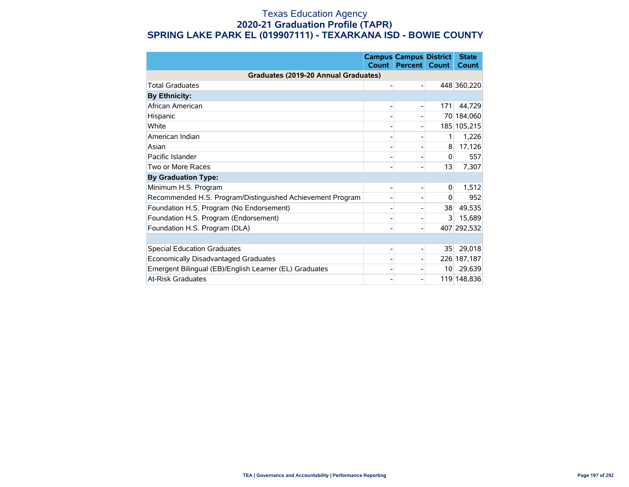#### Texas Education Agency **2020-21 Graduation Profile (TAPR) SPRING LAKE PARK EL (019907111) - TEXARKANA ISD - BOWIE COUNTY**

|                                                            | <b>Count</b> | <b>Campus Campus District</b><br><b>Percent</b> | Count           | <b>State</b><br><b>Count</b> |
|------------------------------------------------------------|--------------|-------------------------------------------------|-----------------|------------------------------|
| Graduates (2019-20 Annual Graduates)                       |              |                                                 |                 |                              |
| <b>Total Graduates</b>                                     |              |                                                 |                 | 448 360,220                  |
| <b>By Ethnicity:</b>                                       |              |                                                 |                 |                              |
| African American                                           |              |                                                 | 171             | 44,729                       |
| Hispanic                                                   |              |                                                 |                 | 70 184,060                   |
| White                                                      |              |                                                 |                 | 185 105,215                  |
| American Indian                                            |              |                                                 | 1               | 1,226                        |
| Asian                                                      |              |                                                 | 8               | 17,126                       |
| Pacific Islander                                           |              |                                                 | 0               | 557                          |
| Two or More Races                                          |              |                                                 | 13              | 7,307                        |
| <b>By Graduation Type:</b>                                 |              |                                                 |                 |                              |
| Minimum H.S. Program                                       |              |                                                 | 0               | 1,512                        |
| Recommended H.S. Program/Distinguished Achievement Program |              |                                                 | 0               | 952                          |
| Foundation H.S. Program (No Endorsement)                   |              |                                                 | 38              | 49,535                       |
| Foundation H.S. Program (Endorsement)                      |              |                                                 | 3               | 15,689                       |
| Foundation H.S. Program (DLA)                              |              |                                                 |                 | 407 292,532                  |
|                                                            |              |                                                 |                 |                              |
| <b>Special Education Graduates</b>                         |              |                                                 | 35              | 29,018                       |
| Economically Disadvantaged Graduates                       |              |                                                 |                 | 226 187,187                  |
| Emergent Bilingual (EB)/English Learner (EL) Graduates     |              |                                                 | 10 <sup>1</sup> | 29,639                       |
| <b>At-Risk Graduates</b>                                   |              |                                                 |                 | 119 148,836                  |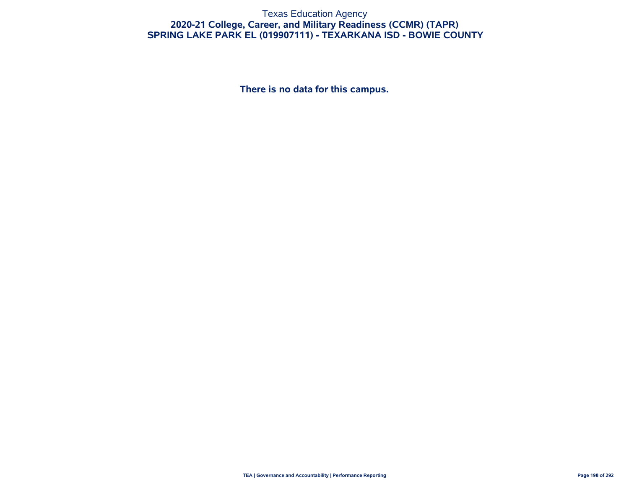#### Texas Education Agency **2020-21 College, Career, and Military Readiness (CCMR) (TAPR) SPRING LAKE PARK EL (019907111) - TEXARKANA ISD - BOWIE COUNTY**

**There is no data for this campus.**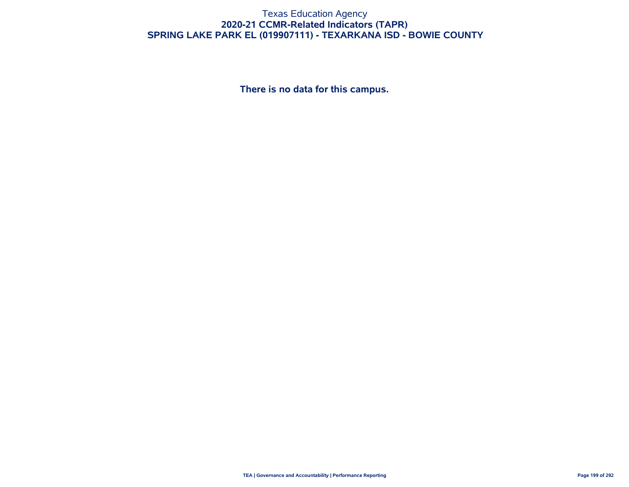#### Texas Education Agency **2020-21 CCMR-Related Indicators (TAPR) SPRING LAKE PARK EL (019907111) - TEXARKANA ISD - BOWIE COUNTY**

**There is no data for this campus.**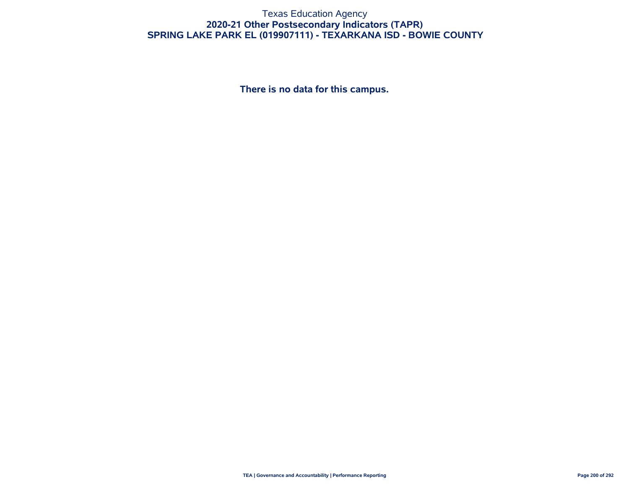#### Texas Education Agency **2020-21 Other Postsecondary Indicators (TAPR) SPRING LAKE PARK EL (019907111) - TEXARKANA ISD - BOWIE COUNTY**

**There is no data for this campus.**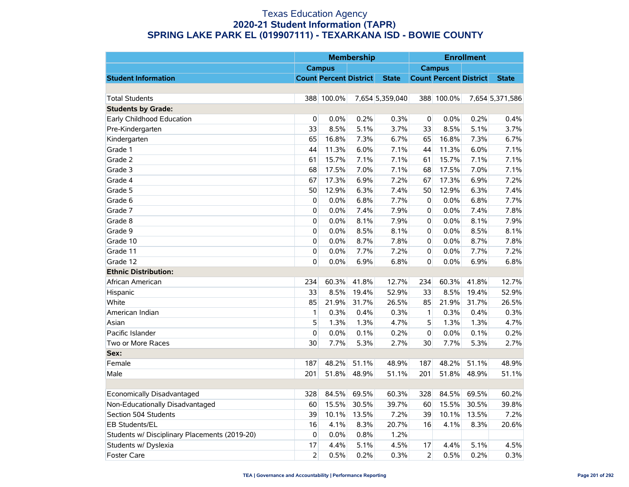|                                               |                |                               | <b>Membership</b> |                 |                |                               | <b>Enrollment</b> |                 |
|-----------------------------------------------|----------------|-------------------------------|-------------------|-----------------|----------------|-------------------------------|-------------------|-----------------|
|                                               |                | <b>Campus</b>                 |                   |                 |                | <b>Campus</b>                 |                   |                 |
| <b>Student Information</b>                    |                | <b>Count Percent District</b> |                   | <b>State</b>    |                | <b>Count Percent District</b> |                   | <b>State</b>    |
|                                               |                |                               |                   |                 |                |                               |                   |                 |
| <b>Total Students</b>                         |                | 388 100.0%                    |                   | 7,654 5,359,040 |                | 388 100.0%                    |                   | 7,654 5,371,586 |
| <b>Students by Grade:</b>                     |                |                               |                   |                 |                |                               |                   |                 |
| Early Childhood Education                     | 0              | 0.0%                          | 0.2%              | 0.3%            | 0              | 0.0%                          | 0.2%              | 0.4%            |
| Pre-Kindergarten                              | 33             | 8.5%                          | 5.1%              | 3.7%            | 33             | 8.5%                          | 5.1%              | 3.7%            |
| Kindergarten                                  | 65             | 16.8%                         | 7.3%              | 6.7%            | 65             | 16.8%                         | 7.3%              | 6.7%            |
| Grade 1                                       | 44             | 11.3%                         | 6.0%              | 7.1%            | 44             | 11.3%                         | 6.0%              | 7.1%            |
| Grade 2                                       | 61             | 15.7%                         | 7.1%              | 7.1%            | 61             | 15.7%                         | 7.1%              | 7.1%            |
| Grade 3                                       | 68             | 17.5%                         | 7.0%              | 7.1%            | 68             | 17.5%                         | 7.0%              | 7.1%            |
| Grade 4                                       | 67             | 17.3%                         | 6.9%              | 7.2%            | 67             | 17.3%                         | 6.9%              | 7.2%            |
| Grade 5                                       | 50             | 12.9%                         | 6.3%              | 7.4%            | 50             | 12.9%                         | 6.3%              | 7.4%            |
| Grade 6                                       | $\mathbf{0}$   | 0.0%                          | 6.8%              | 7.7%            | $\mathbf 0$    | 0.0%                          | 6.8%              | 7.7%            |
| Grade 7                                       | 0              | 0.0%                          | 7.4%              | 7.9%            | $\mathbf 0$    | 0.0%                          | 7.4%              | 7.8%            |
| Grade 8                                       | 0              | 0.0%                          | 8.1%              | 7.9%            | $\mathbf 0$    | 0.0%                          | 8.1%              | 7.9%            |
| Grade 9                                       | 0              | 0.0%                          | 8.5%              | 8.1%            | $\mathbf 0$    | 0.0%                          | 8.5%              | 8.1%            |
| Grade 10                                      | $\mathbf{0}$   | 0.0%                          | 8.7%              | 7.8%            | 0              | 0.0%                          | 8.7%              | 7.8%            |
| Grade 11                                      | 0              | 0.0%                          | 7.7%              | 7.2%            | $\pmb{0}$      | 0.0%                          | 7.7%              | 7.2%            |
| Grade 12                                      | 0              | 0.0%                          | 6.9%              | 6.8%            | $\overline{0}$ | 0.0%                          | 6.9%              | 6.8%            |
| <b>Ethnic Distribution:</b>                   |                |                               |                   |                 |                |                               |                   |                 |
| African American                              | 234            | 60.3%                         | 41.8%             | 12.7%           | 234            | 60.3%                         | 41.8%             | 12.7%           |
| Hispanic                                      | 33             | 8.5%                          | 19.4%             | 52.9%           | 33             | 8.5%                          | 19.4%             | 52.9%           |
| White                                         | 85             | 21.9%                         | 31.7%             | 26.5%           | 85             | 21.9%                         | 31.7%             | 26.5%           |
| American Indian                               | 1              | 0.3%                          | 0.4%              | 0.3%            | $\mathbf{1}$   | 0.3%                          | 0.4%              | 0.3%            |
| Asian                                         | 5              | 1.3%                          | 1.3%              | 4.7%            | 5              | 1.3%                          | 1.3%              | 4.7%            |
| Pacific Islander                              | 0              | 0.0%                          | 0.1%              | 0.2%            | $\overline{0}$ | 0.0%                          | 0.1%              | 0.2%            |
| Two or More Races                             | 30             | 7.7%                          | 5.3%              | 2.7%            | 30             | 7.7%                          | 5.3%              | 2.7%            |
| Sex:                                          |                |                               |                   |                 |                |                               |                   |                 |
| Female                                        | 187            | 48.2%                         | 51.1%             | 48.9%           | 187            | 48.2%                         | 51.1%             | 48.9%           |
| Male                                          | 201            | 51.8%                         | 48.9%             | 51.1%           | 201            | 51.8%                         | 48.9%             | 51.1%           |
|                                               |                |                               |                   |                 |                |                               |                   |                 |
| Economically Disadvantaged                    | 328            | 84.5%                         | 69.5%             | 60.3%           | 328            | 84.5%                         | 69.5%             | 60.2%           |
| Non-Educationally Disadvantaged               | 60             | 15.5%                         | 30.5%             | 39.7%           | 60             | 15.5%                         | 30.5%             | 39.8%           |
| Section 504 Students                          | 39             | 10.1%                         | 13.5%             | 7.2%            | 39             | 10.1%                         | 13.5%             | 7.2%            |
| EB Students/EL                                | 16             | 4.1%                          | 8.3%              | 20.7%           | 16             | 4.1%                          | 8.3%              | 20.6%           |
| Students w/ Disciplinary Placements (2019-20) | 0              | 0.0%                          | 0.8%              | 1.2%            |                |                               |                   |                 |
| Students w/ Dyslexia                          | 17             | 4.4%                          | 5.1%              | 4.5%            | 17             | 4.4%                          | 5.1%              | 4.5%            |
| <b>Foster Care</b>                            | $\overline{2}$ | 0.5%                          | 0.2%              | 0.3%            | $\overline{2}$ | 0.5%                          | 0.2%              | 0.3%            |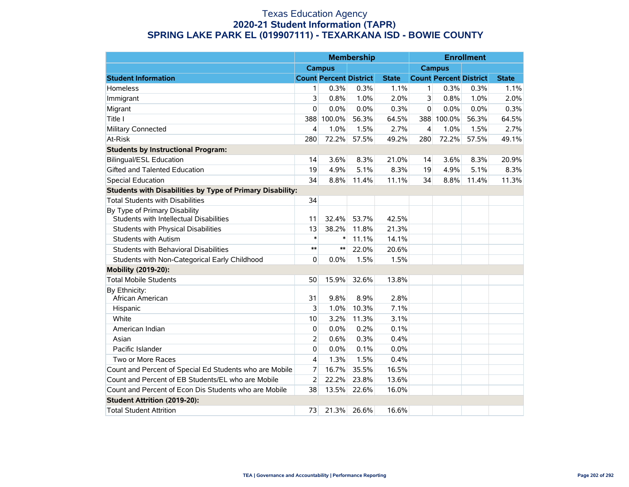|                                                                          |        |                               | <b>Membership</b> |              |                |                               | <b>Enrollment</b> |              |
|--------------------------------------------------------------------------|--------|-------------------------------|-------------------|--------------|----------------|-------------------------------|-------------------|--------------|
|                                                                          |        | <b>Campus</b>                 |                   |              |                | <b>Campus</b>                 |                   |              |
| <b>Student Information</b>                                               |        | <b>Count Percent District</b> |                   | <b>State</b> |                | <b>Count Percent District</b> |                   | <b>State</b> |
| Homeless                                                                 | 1      | 0.3%                          | 0.3%              | 1.1%         | 1              | 0.3%                          | 0.3%              | 1.1%         |
| Immigrant                                                                | 3      | 0.8%                          | 1.0%              | 2.0%         | 3              | 0.8%                          | 1.0%              | 2.0%         |
| Migrant                                                                  | 0      | 0.0%                          | 0.0%              | 0.3%         | $\Omega$       | 0.0%                          | 0.0%              | 0.3%         |
| Title I                                                                  | 388    | 100.0%                        | 56.3%             | 64.5%        | 388            | 100.0%                        | 56.3%             | 64.5%        |
| Military Connected                                                       | 4      | 1.0%                          | 1.5%              | 2.7%         | $\overline{4}$ | 1.0%                          | 1.5%              | 2.7%         |
| At-Risk                                                                  | 280    | 72.2%                         | 57.5%             | 49.2%        | 280            | 72.2%                         | 57.5%             | 49.1%        |
| <b>Students by Instructional Program:</b>                                |        |                               |                   |              |                |                               |                   |              |
| <b>Bilingual/ESL Education</b>                                           | 14     | 3.6%                          | 8.3%              | 21.0%        | 14             | 3.6%                          | 8.3%              | 20.9%        |
| Gifted and Talented Education                                            | 19     | 4.9%                          | 5.1%              | 8.3%         | 19             | 4.9%                          | 5.1%              | 8.3%         |
| <b>Special Education</b>                                                 | 34     | 8.8%                          | 11.4%             | 11.1%        | 34             | 8.8%                          | 11.4%             | 11.3%        |
| <b>Students with Disabilities by Type of Primary Disability:</b>         |        |                               |                   |              |                |                               |                   |              |
| <b>Total Students with Disabilities</b>                                  | 34     |                               |                   |              |                |                               |                   |              |
| By Type of Primary Disability<br>Students with Intellectual Disabilities | 11     | 32.4%                         | 53.7%             | 42.5%        |                |                               |                   |              |
| Students with Physical Disabilities                                      | 13     | 38.2%                         | 11.8%             | 21.3%        |                |                               |                   |              |
| <b>Students with Autism</b>                                              | $\ast$ | $\ast$                        | 11.1%             | 14.1%        |                |                               |                   |              |
| Students with Behavioral Disabilities                                    | $***$  | $***$                         | 22.0%             | 20.6%        |                |                               |                   |              |
| Students with Non-Categorical Early Childhood                            | 0      | 0.0%                          | 1.5%              | 1.5%         |                |                               |                   |              |
| Mobility (2019-20):                                                      |        |                               |                   |              |                |                               |                   |              |
| <b>Total Mobile Students</b>                                             | 50     | 15.9%                         | 32.6%             | 13.8%        |                |                               |                   |              |
| By Ethnicity:<br>African American                                        | 31     | 9.8%                          | 8.9%              | 2.8%         |                |                               |                   |              |
| Hispanic                                                                 | 3      | 1.0%                          | 10.3%             | 7.1%         |                |                               |                   |              |
| White                                                                    | 10     | 3.2%                          | 11.3%             | 3.1%         |                |                               |                   |              |
| American Indian                                                          | 0      | 0.0%                          | 0.2%              | 0.1%         |                |                               |                   |              |
| Asian                                                                    | 2      | 0.6%                          | 0.3%              | 0.4%         |                |                               |                   |              |
| Pacific Islander                                                         | 0      | 0.0%                          | 0.1%              | 0.0%         |                |                               |                   |              |
| Two or More Races                                                        | 4      | 1.3%                          | 1.5%              | 0.4%         |                |                               |                   |              |
| Count and Percent of Special Ed Students who are Mobile                  | 7      | 16.7%                         | 35.5%             | 16.5%        |                |                               |                   |              |
| Count and Percent of EB Students/EL who are Mobile                       | 2      | 22.2%                         | 23.8%             | 13.6%        |                |                               |                   |              |
| Count and Percent of Econ Dis Students who are Mobile                    | 38     | 13.5%                         | 22.6%             | 16.0%        |                |                               |                   |              |
| Student Attrition (2019-20):                                             |        |                               |                   |              |                |                               |                   |              |
| <b>Total Student Attrition</b>                                           | 73     | 21.3%                         | 26.6%             | 16.6%        |                |                               |                   |              |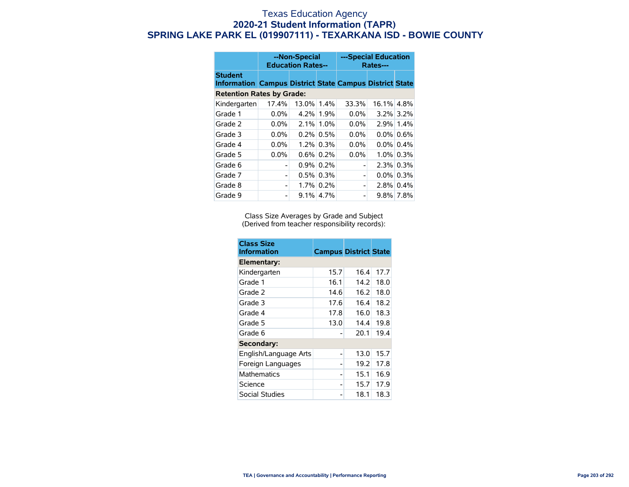|                                                                                  | --Non-Special<br><b>Education Rates--</b> |          |              | ---Special Education<br>Rates--- |            |              |  |
|----------------------------------------------------------------------------------|-------------------------------------------|----------|--------------|----------------------------------|------------|--------------|--|
| <b>Student</b><br><b>Information Campus District State Campus District State</b> |                                           |          |              |                                  |            |              |  |
| <b>Retention Rates by Grade:</b>                                                 |                                           |          |              |                                  |            |              |  |
| Kindergarten                                                                     | 17.4%                                     | $13.0\%$ | 1.4%         | 33.3%                            | 16.1% 4.8% |              |  |
| Grade 1                                                                          | $0.0\%$                                   |          | 4.2% 1.9%    | $0.0\%$                          |            | $3.2\%$ 3.2% |  |
| Grade 2                                                                          | $0.0\%$                                   | 2.1%     | 1.0%         | $0.0\%$                          |            | 2.9% 1.4%    |  |
| Grade 3                                                                          | $0.0\%$                                   |          | $0.2\%$ 0.5% | $0.0\%$                          |            | $0.0\%$ 0.6% |  |
| Grade 4                                                                          | $0.0\%$                                   |          | $1.2\%$ 0.3% | $0.0\%$                          | $0.0\%$    | 0.4%         |  |
| Grade 5                                                                          | 0.0%                                      |          | $0.6\%$ 0.2% | $0.0\%$                          |            | $1.0\%$ 0.3% |  |
| Grade 6                                                                          |                                           |          | $0.9\%$ 0.2% |                                  | $2.3\%$    | 0.3%         |  |
| Grade 7                                                                          |                                           |          | $0.5\%$ 0.3% | -                                |            | $0.0\%$ 0.3% |  |
| Grade 8                                                                          |                                           |          | 1.7% 0.2%    | -                                |            | $2.8\%$ 0.4% |  |
| Grade 9                                                                          |                                           |          | $9.1\%$ 4.7% |                                  |            | 9.8% 7.8%    |  |

Class Size Averages by Grade and Subject (Derived from teacher responsibility records):

| <b>Class Size</b><br><b>Information</b> | <b>Campus District State</b> |      |      |
|-----------------------------------------|------------------------------|------|------|
| Elementary:                             |                              |      |      |
| Kindergarten                            | 15.7                         | 16.4 | 17.7 |
| Grade 1                                 | 16.1                         | 14.2 | 18.0 |
| Grade 2                                 | 14.6                         | 16.2 | 18.0 |
| Grade 3                                 | 17.6                         | 16.4 | 18.2 |
| Grade 4                                 | 17.8                         | 16.0 | 18.3 |
| Grade 5                                 | 13.0                         | 14.4 | 19.8 |
| Grade 6                                 |                              | 20.1 | 19.4 |
| Secondary:                              |                              |      |      |
| English/Language Arts                   |                              | 13.0 | 15.7 |
| Foreign Languages                       |                              | 19.2 | 17.8 |
| <b>Mathematics</b>                      |                              | 15.1 | 16.9 |
| Science                                 |                              | 15.7 | 17.9 |
| Social Studies                          |                              | 18.1 | 18.3 |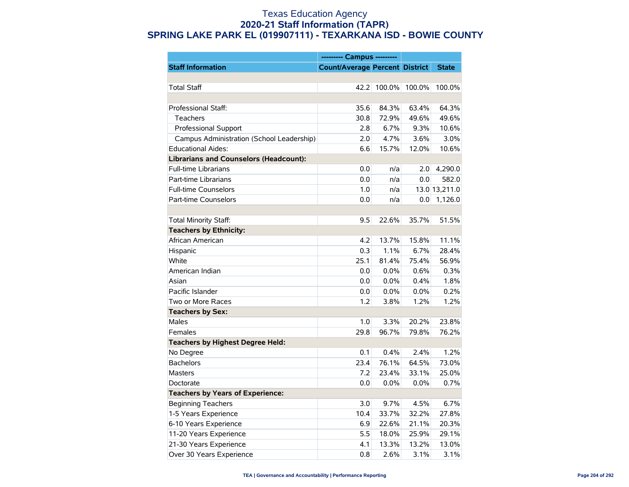|                                               | --------- Campus ---------            |        |        |               |
|-----------------------------------------------|---------------------------------------|--------|--------|---------------|
| <b>Staff Information</b>                      | <b>Count/Average Percent District</b> |        |        | <b>State</b>  |
|                                               |                                       |        |        |               |
| <b>Total Staff</b>                            | 42.2                                  | 100.0% | 100.0% | 100.0%        |
|                                               |                                       |        |        |               |
| Professional Staff:                           | 35.6                                  | 84.3%  | 63.4%  | 64.3%         |
| <b>Teachers</b>                               | 30.8                                  | 72.9%  | 49.6%  | 49.6%         |
| Professional Support                          | 2.8                                   | 6.7%   | 9.3%   | 10.6%         |
| Campus Administration (School Leadership)     | 2.0                                   | 4.7%   | 3.6%   | 3.0%          |
| <b>Educational Aides:</b>                     | 6.6                                   | 15.7%  | 12.0%  | 10.6%         |
| <b>Librarians and Counselors (Headcount):</b> |                                       |        |        |               |
| <b>Full-time Librarians</b>                   | 0.0                                   | n/a    | 2.0    | 4,290.0       |
| Part-time Librarians                          | 0.0                                   | n/a    | 0.0    | 582.0         |
| <b>Full-time Counselors</b>                   | 1.0                                   | n/a    |        | 13.0 13,211.0 |
| Part-time Counselors                          | 0.0                                   | n/a    | 0.0    | 1,126.0       |
|                                               |                                       |        |        |               |
| Total Minority Staff:                         | 9.5                                   | 22.6%  | 35.7%  | 51.5%         |
| <b>Teachers by Ethnicity:</b>                 |                                       |        |        |               |
| African American                              | 4.2                                   | 13.7%  | 15.8%  | 11.1%         |
| Hispanic                                      | 0.3                                   | 1.1%   | 6.7%   | 28.4%         |
| White                                         | 25.1                                  | 81.4%  | 75.4%  | 56.9%         |
| American Indian                               | 0.0                                   | 0.0%   | 0.6%   | 0.3%          |
| Asian                                         | 0.0                                   | 0.0%   | 0.4%   | 1.8%          |
| Pacific Islander                              | 0.0                                   | 0.0%   | 0.0%   | 0.2%          |
| Two or More Races                             | 1.2                                   | 3.8%   | 1.2%   | 1.2%          |
| <b>Teachers by Sex:</b>                       |                                       |        |        |               |
| Males                                         | 1.0                                   | 3.3%   | 20.2%  | 23.8%         |
| Females                                       | 29.8                                  | 96.7%  | 79.8%  | 76.2%         |
| <b>Teachers by Highest Degree Held:</b>       |                                       |        |        |               |
| No Degree                                     | 0.1                                   | 0.4%   | 2.4%   | 1.2%          |
| <b>Bachelors</b>                              | 23.4                                  | 76.1%  | 64.5%  | 73.0%         |
| <b>Masters</b>                                | 7.2                                   | 23.4%  | 33.1%  | 25.0%         |
| Doctorate                                     | 0.0                                   | 0.0%   | 0.0%   | 0.7%          |
| <b>Teachers by Years of Experience:</b>       |                                       |        |        |               |
| <b>Beginning Teachers</b>                     | 3.0                                   | 9.7%   | 4.5%   | 6.7%          |
| 1-5 Years Experience                          | 10.4                                  | 33.7%  | 32.2%  | 27.8%         |
| 6-10 Years Experience                         | 6.9                                   | 22.6%  | 21.1%  | 20.3%         |
| 11-20 Years Experience                        | 5.5                                   | 18.0%  | 25.9%  | 29.1%         |
| 21-30 Years Experience                        | 4.1                                   | 13.3%  | 13.2%  | 13.0%         |
| Over 30 Years Experience                      | 0.8                                   | 2.6%   | 3.1%   | 3.1%          |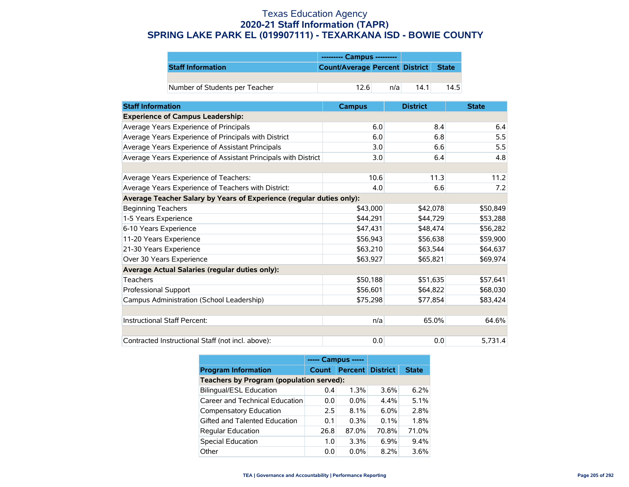|                                | --------- Campus ---------           |
|--------------------------------|--------------------------------------|
| <b>Staff Information</b>       | Count/Average Percent District State |
|                                |                                      |
| Number of Students per Teacher | 12.6<br>14.5<br>14.1<br>n/a          |

| <b>Staff Information</b>                                             | <b>Campus</b> | <b>District</b> | <b>State</b> |
|----------------------------------------------------------------------|---------------|-----------------|--------------|
| <b>Experience of Campus Leadership:</b>                              |               |                 |              |
| Average Years Experience of Principals                               | 6.0           | 8.4             | 6.4          |
| Average Years Experience of Principals with District                 | 6.0           | 6.8             | 5.5          |
| Average Years Experience of Assistant Principals                     | 3.0           | 6.6             | 5.5          |
| Average Years Experience of Assistant Principals with District       | 3.0           | 6.4             | 4.8          |
|                                                                      |               |                 |              |
| Average Years Experience of Teachers:                                | 10.6          | 11.3            | 11.2         |
| Average Years Experience of Teachers with District:                  | 4.0           | 6.6             | 7.2          |
| Average Teacher Salary by Years of Experience (regular duties only): |               |                 |              |
| <b>Beginning Teachers</b>                                            | \$43,000      | \$42,078        | \$50,849     |
| 1-5 Years Experience                                                 | \$44,291      | \$44,729        | \$53,288     |
| 6-10 Years Experience                                                | \$47,431      | \$48,474        | \$56,282     |
| 11-20 Years Experience                                               | \$56,943      | \$56,638        | \$59,900     |
| 21-30 Years Experience                                               | \$63,210      | \$63,544        | \$64,637     |
| Over 30 Years Experience                                             | \$63,927      | \$65,821        | \$69,974     |
| Average Actual Salaries (regular duties only):                       |               |                 |              |
| <b>Teachers</b>                                                      | \$50,188      | \$51,635        | \$57,641     |
| Professional Support                                                 | \$56,601      | \$64,822        | \$68,030     |
| Campus Administration (School Leadership)                            | \$75,298      | \$77,854        | \$83,424     |
|                                                                      |               |                 |              |
| Instructional Staff Percent:                                         | n/a           | 65.0%           | 64.6%        |
|                                                                      |               |                 |              |
| Contracted Instructional Staff (not incl. above):                    | 0.0           | 0.0             | 5,731.4      |

|                                          | ----- Campus ----- |                         |         |              |  |  |
|------------------------------------------|--------------------|-------------------------|---------|--------------|--|--|
| <b>Program Information</b>               | <b>Count</b>       | <b>Percent District</b> |         | <b>State</b> |  |  |
| Teachers by Program (population served): |                    |                         |         |              |  |  |
| <b>Bilingual/ESL Education</b>           | 0.4                | 1.3%                    | 3.6%    | 6.2%         |  |  |
| Career and Technical Education           | 0.0                | $0.0\%$                 | 4.4%    | 5.1%         |  |  |
| Compensatory Education                   | 2.5                | 8.1%                    | $6.0\%$ | 2.8%         |  |  |
| Gifted and Talented Education            | 0.1                | 0.3%                    | $0.1\%$ | 1.8%         |  |  |
| <b>Regular Education</b>                 | 26.8               | 87.0%                   | 70.8%   | 71.0%        |  |  |
| <b>Special Education</b>                 | 1.0                | 3.3%                    | $6.9\%$ | 9.4%         |  |  |
| Other                                    | 0.0                | $0.0\%$                 | $8.2\%$ | 3.6%         |  |  |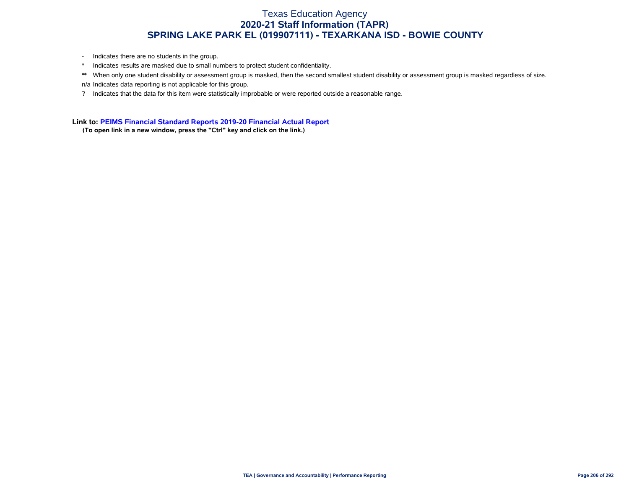- Indicates there are no students in the group.
- \* Indicates results are masked due to small numbers to protect student confidentiality.
- \*\* When only one student disability or assessment group is masked, then the second smallest student disability or assessment group is masked regardless of size. n/a Indicates data reporting is not applicable for this group.
- ? Indicates that the data for this item were statistically improbable or were reported outside a reasonable range.

**Link to: [PEIMS Financial Standard Reports 2019-20 Financial Actual Report](https://rptsvr1.tea.texas.gov/cgi/sas/broker?_service=marykay&_service=appserv&_debug=0&_program=sfadhoc.Campus_actual20.sas&which_camp=019907111)**

**(To open link in a new window, press the "Ctrl" key and click on the link.)**